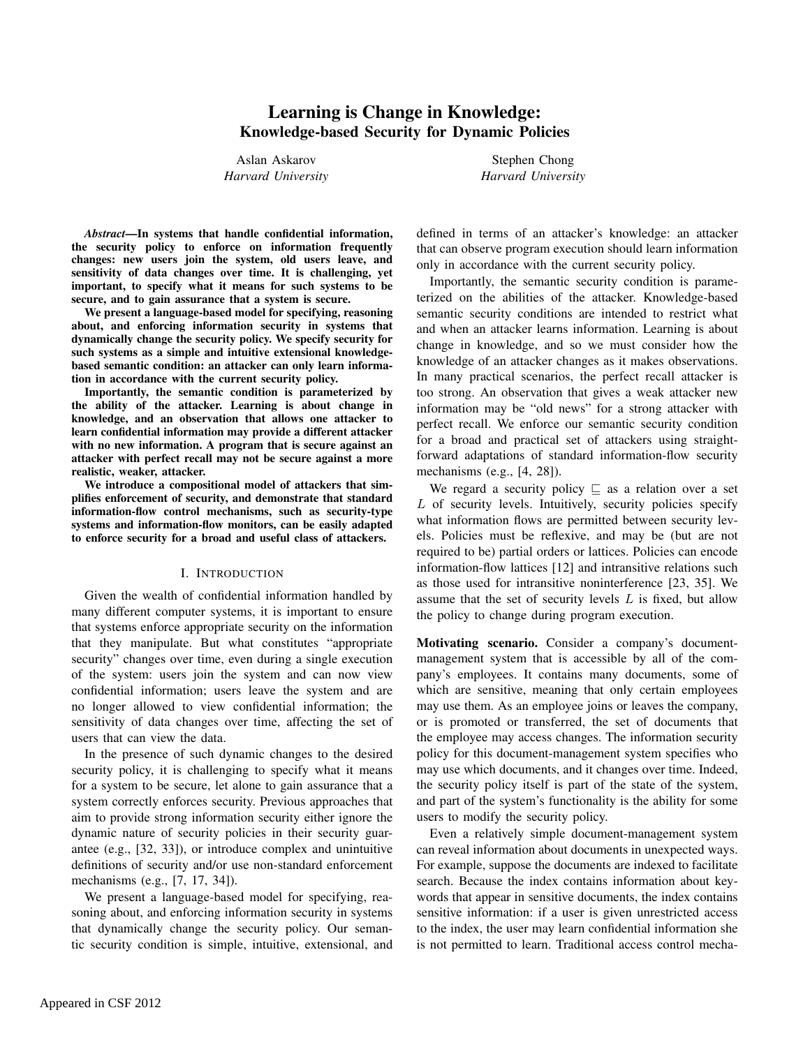# Learning is Change in Knowledge: Knowledge-based Security for Dynamic Policies

Aslan Askarov *Harvard University*

Stephen Chong *Harvard University*

*Abstract*—In systems that handle confidential information, the security policy to enforce on information frequently changes: new users join the system, old users leave, and sensitivity of data changes over time. It is challenging, yet important, to specify what it means for such systems to be secure, and to gain assurance that a system is secure.

We present a language-based model for specifying, reasoning about, and enforcing information security in systems that dynamically change the security policy. We specify security for such systems as a simple and intuitive extensional knowledgebased semantic condition: an attacker can only learn information in accordance with the current security policy.

Importantly, the semantic condition is parameterized by the ability of the attacker. Learning is about change in knowledge, and an observation that allows one attacker to learn confidential information may provide a different attacker with no new information. A program that is secure against an attacker with perfect recall may not be secure against a more realistic, weaker, attacker.

We introduce a compositional model of attackers that simplifies enforcement of security, and demonstrate that standard information-flow control mechanisms, such as security-type systems and information-flow monitors, can be easily adapted to enforce security for a broad and useful class of attackers.

## I. INTRODUCTION

Given the wealth of confidential information handled by many different computer systems, it is important to ensure that systems enforce appropriate security on the information that they manipulate. But what constitutes "appropriate security" changes over time, even during a single execution of the system: users join the system and can now view confidential information; users leave the system and are no longer allowed to view confidential information; the sensitivity of data changes over time, affecting the set of users that can view the data.

In the presence of such dynamic changes to the desired security policy, it is challenging to specify what it means for a system to be secure, let alone to gain assurance that a system correctly enforces security. Previous approaches that aim to provide strong information security either ignore the dynamic nature of security policies in their security guarantee (e.g., [32, 33]), or introduce complex and unintuitive definitions of security and/or use non-standard enforcement mechanisms (e.g., [7, 17, 34]).

We present a language-based model for specifying, reasoning about, and enforcing information security in systems that dynamically change the security policy. Our semantic security condition is simple, intuitive, extensional, and defined in terms of an attacker's knowledge: an attacker that can observe program execution should learn information only in accordance with the current security policy.

Importantly, the semantic security condition is parameterized on the abilities of the attacker. Knowledge-based semantic security conditions are intended to restrict what and when an attacker learns information. Learning is about change in knowledge, and so we must consider how the knowledge of an attacker changes as it makes observations. In many practical scenarios, the perfect recall attacker is too strong. An observation that gives a weak attacker new information may be "old news" for a strong attacker with perfect recall. We enforce our semantic security condition for a broad and practical set of attackers using straightforward adaptations of standard information-flow security mechanisms (e.g., [4, 28]).

We regard a security policy  $\subseteq$  as a relation over a set L of security levels. Intuitively, security policies specify what information flows are permitted between security levels. Policies must be reflexive, and may be (but are not required to be) partial orders or lattices. Policies can encode information-flow lattices [12] and intransitive relations such as those used for intransitive noninterference [23, 35]. We assume that the set of security levels  $L$  is fixed, but allow the policy to change during program execution.

Motivating scenario. Consider a company's documentmanagement system that is accessible by all of the company's employees. It contains many documents, some of which are sensitive, meaning that only certain employees may use them. As an employee joins or leaves the company, or is promoted or transferred, the set of documents that the employee may access changes. The information security policy for this document-management system specifies who may use which documents, and it changes over time. Indeed, the security policy itself is part of the state of the system, and part of the system's functionality is the ability for some users to modify the security policy.

Even a relatively simple document-management system can reveal information about documents in unexpected ways. For example, suppose the documents are indexed to facilitate search. Because the index contains information about keywords that appear in sensitive documents, the index contains sensitive information: if a user is given unrestricted access to the index, the user may learn confidential information she is not permitted to learn. Traditional access control mecha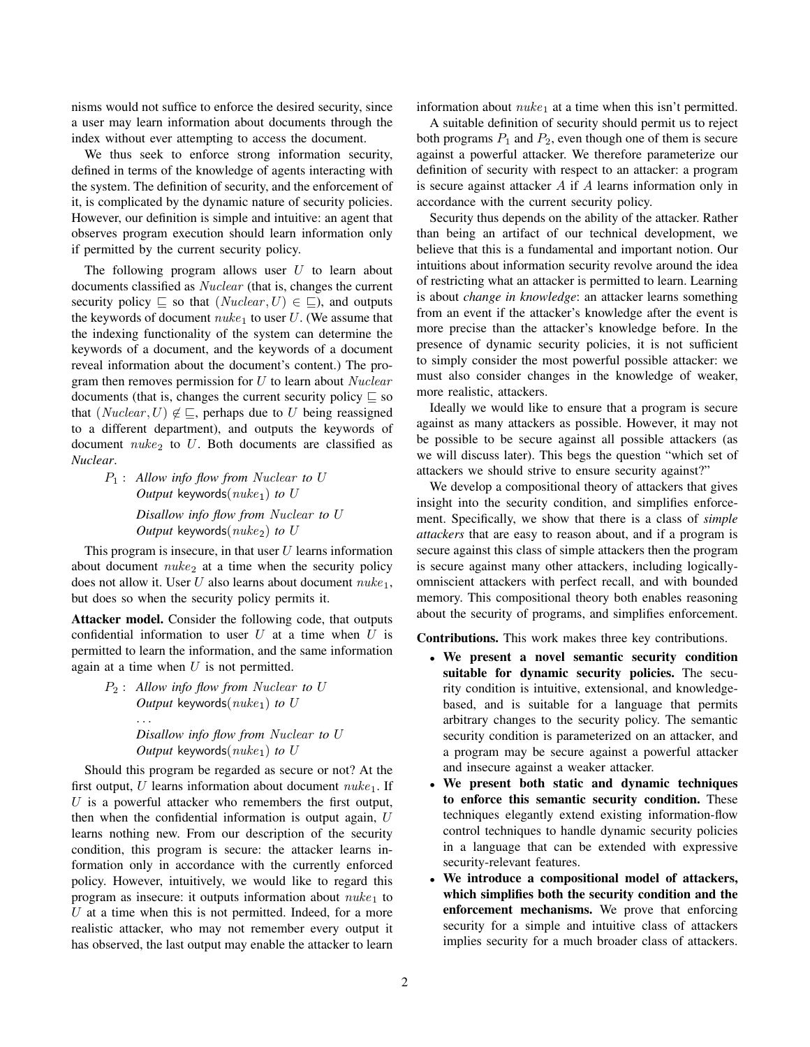nisms would not suffice to enforce the desired security, since a user may learn information about documents through the index without ever attempting to access the document.

We thus seek to enforce strong information security, defined in terms of the knowledge of agents interacting with the system. The definition of security, and the enforcement of it, is complicated by the dynamic nature of security policies. However, our definition is simple and intuitive: an agent that observes program execution should learn information only if permitted by the current security policy.

The following program allows user  $U$  to learn about documents classified as Nuclear (that is, changes the current security policy  $\subseteq$  so that  $(Nuclear, U) \in \subseteq$ ), and outputs the keywords of document  $nuke_1$  to user U. (We assume that the indexing functionality of the system can determine the keywords of a document, and the keywords of a document reveal information about the document's content.) The program then removes permission for  $U$  to learn about *Nuclear* documents (that is, changes the current security policy  $\subseteq$  so that  $(Nuclear, U) \notin \sqsubseteq$ , perhaps due to U being reassigned to a different department), and outputs the keywords of document  $nuke_2$  to  $U$ . Both documents are classified as *Nuclear*.

> P<sup>1</sup> : *Allow info flow from* Nuclear *to* U *Output* keywords $(nuke_1)$  *to* U *Disallow info flow from* Nuclear *to* U

*Output* keywords $(nuke_2)$  *to* U

This program is insecure, in that user  $U$  learns information about document  $nuke_2$  at a time when the security policy does not allow it. User U also learns about document  $nuke_1$ , but does so when the security policy permits it.

Attacker model. Consider the following code, that outputs confidential information to user  $U$  at a time when  $U$  is permitted to learn the information, and the same information again at a time when  $U$  is not permitted.

> P<sup>2</sup> : *Allow info flow from* Nuclear *to* U *Output* keywords $(nuke_1)$  *to* U . . . *Disallow info flow from* Nuclear *to* U *Output* keywords $(nuke_1)$  *to* U

Should this program be regarded as secure or not? At the first output, U learns information about document  $nuke_1$ . If U is a powerful attacker who remembers the first output, then when the confidential information is output again,  $U$ learns nothing new. From our description of the security condition, this program is secure: the attacker learns information only in accordance with the currently enforced policy. However, intuitively, we would like to regard this program as insecure: it outputs information about  $nuke_1$  to U at a time when this is not permitted. Indeed, for a more realistic attacker, who may not remember every output it has observed, the last output may enable the attacker to learn information about  $nuke_1$  at a time when this isn't permitted.

A suitable definition of security should permit us to reject both programs  $P_1$  and  $P_2$ , even though one of them is secure against a powerful attacker. We therefore parameterize our definition of security with respect to an attacker: a program is secure against attacker  $A$  if  $A$  learns information only in accordance with the current security policy.

Security thus depends on the ability of the attacker. Rather than being an artifact of our technical development, we believe that this is a fundamental and important notion. Our intuitions about information security revolve around the idea of restricting what an attacker is permitted to learn. Learning is about *change in knowledge*: an attacker learns something from an event if the attacker's knowledge after the event is more precise than the attacker's knowledge before. In the presence of dynamic security policies, it is not sufficient to simply consider the most powerful possible attacker: we must also consider changes in the knowledge of weaker, more realistic, attackers.

Ideally we would like to ensure that a program is secure against as many attackers as possible. However, it may not be possible to be secure against all possible attackers (as we will discuss later). This begs the question "which set of attackers we should strive to ensure security against?"

We develop a compositional theory of attackers that gives insight into the security condition, and simplifies enforcement. Specifically, we show that there is a class of *simple attackers* that are easy to reason about, and if a program is secure against this class of simple attackers then the program is secure against many other attackers, including logicallyomniscient attackers with perfect recall, and with bounded memory. This compositional theory both enables reasoning about the security of programs, and simplifies enforcement.

Contributions. This work makes three key contributions.

- We present a novel semantic security condition suitable for dynamic security policies. The security condition is intuitive, extensional, and knowledgebased, and is suitable for a language that permits arbitrary changes to the security policy. The semantic security condition is parameterized on an attacker, and a program may be secure against a powerful attacker and insecure against a weaker attacker.
- We present both static and dynamic techniques to enforce this semantic security condition. These techniques elegantly extend existing information-flow control techniques to handle dynamic security policies in a language that can be extended with expressive security-relevant features.
- We introduce a compositional model of attackers, which simplifies both the security condition and the enforcement mechanisms. We prove that enforcing security for a simple and intuitive class of attackers implies security for a much broader class of attackers.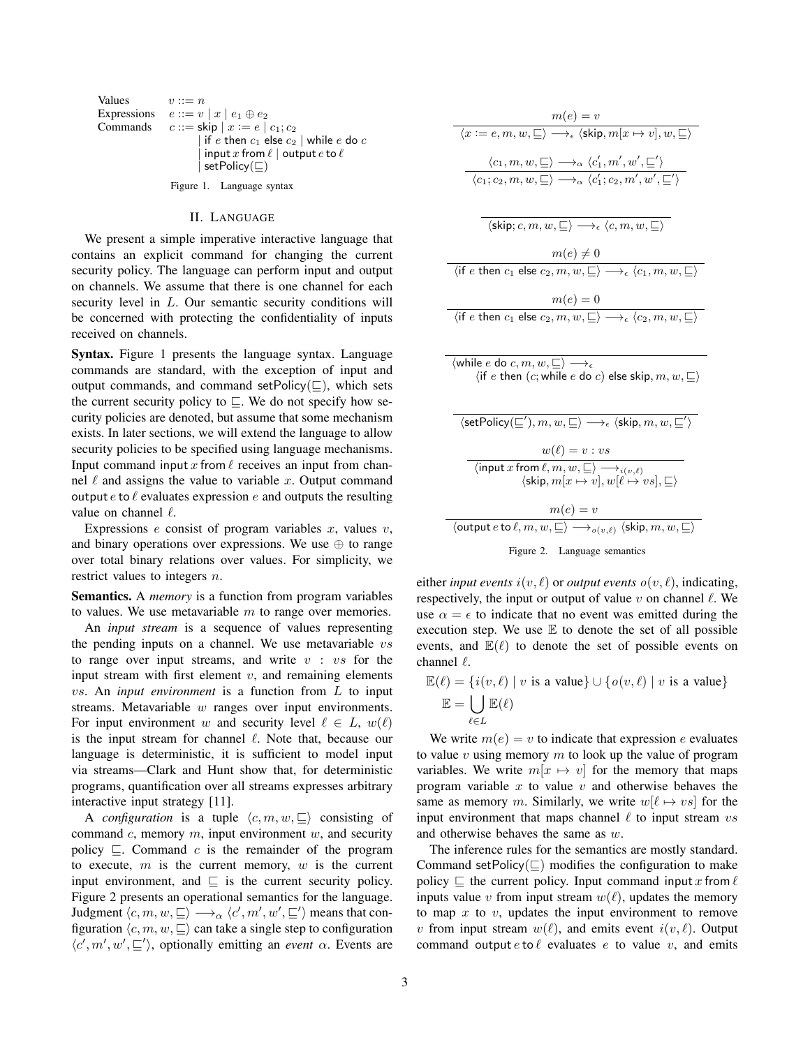Values 
$$
v ::= n
$$
  
Expressions 
$$
e ::= v | x | e_1 \oplus e_2
$$
  
Commands 
$$
c ::= \text{skip} | x := e | c_1; c_2
$$
  
if  $e$  then  $c_1$  else  $c_2$  | while  $e$  do  $c$   
input  $x$  from  $\ell$  | output  $e$  to  $\ell$   
setPolicy( $\sqsubseteq$ )  
Figure 1. Language syntax

# II. LANGUAGE

We present a simple imperative interactive language that contains an explicit command for changing the current security policy. The language can perform input and output on channels. We assume that there is one channel for each security level in L. Our semantic security conditions will be concerned with protecting the confidentiality of inputs received on channels.

Syntax. Figure 1 presents the language syntax. Language commands are standard, with the exception of input and output commands, and command setPolicy( $\sqsubseteq$ ), which sets the current security policy to  $\sqsubseteq$ . We do not specify how security policies are denoted, but assume that some mechanism exists. In later sections, we will extend the language to allow security policies to be specified using language mechanisms. Input command input x from  $\ell$  receives an input from channel  $\ell$  and assigns the value to variable x. Output command output  $e$  to  $\ell$  evaluates expression  $e$  and outputs the resulting value on channel  $\ell$ .

Expressions  $e$  consist of program variables  $x$ , values  $v$ , and binary operations over expressions. We use  $\oplus$  to range over total binary relations over values. For simplicity, we restrict values to integers n.

Semantics. A *memory* is a function from program variables to values. We use metavariable  $m$  to range over memories.

An *input stream* is a sequence of values representing the pending inputs on a channel. We use metavariable  $vs$ to range over input streams, and write  $v : vs$  for the input stream with first element  $v$ , and remaining elements vs. An *input environment* is a function from L to input streams. Metavariable w ranges over input environments. For input environment w and security level  $\ell \in L$ ,  $w(\ell)$ is the input stream for channel  $\ell$ . Note that, because our language is deterministic, it is sufficient to model input via streams—Clark and Hunt show that, for deterministic programs, quantification over all streams expresses arbitrary interactive input strategy [11].

A *configuration* is a tuple  $\langle c, m, w \rangle \subseteq \rangle$  consisting of command  $c$ , memory  $m$ , input environment  $w$ , and security policy  $\subseteq$ . Command c is the remainder of the program to execute,  $m$  is the current memory,  $w$  is the current input environment, and  $\sqsubseteq$  is the current security policy. Figure 2 presents an operational semantics for the language. Judgment  $\langle c, m, w, \sqsubseteq \rangle \longrightarrow_{\alpha} \langle c', m', w', \sqsubseteq' \rangle$  means that configuration  $\langle c, m, w, \sqsubseteq \rangle$  can take a single step to configuration  $\langle c', m', w', \sqsubseteq' \rangle$ , optionally emitting an *event*  $\alpha$ . Events are

| $m(e) = v$                                                                                                                                                     |
|----------------------------------------------------------------------------------------------------------------------------------------------------------------|
| $\langle x := e, m, w, \sqsubseteq \rangle \longrightarrow_{\epsilon} \langle \textsf{skip}, m[x \mapsto v], w, \sqsubseteq \rangle$                           |
| $\langle c_1, m, w, \sqsubseteq \rangle \longrightarrow_\alpha \langle c_1', m', w', \sqsubseteq' \rangle$                                                     |
| $\langle c_1; \overline{c_2,m,w,\sqsubseteq\rangle \longrightarrow_{\alpha} \langle c_1';c_2,m',w',\sqsubseteq'\rangle}$                                       |
|                                                                                                                                                                |
| $\langle$ skip; $c, m, w, \sqsubseteq \rangle \longrightarrow_{\epsilon} \langle c, m, w, \sqsubseteq \rangle$                                                 |
| $m(e) \neq 0$                                                                                                                                                  |
| $\langle$ if e then $c_1$ else $c_2, m, w, \sqsubseteq \rangle \longrightarrow_{\epsilon} \langle c_1, m, w, \sqsubseteq \rangle$                              |
| $m(e)=0$                                                                                                                                                       |
| $\langle$ if e then $c_1$ else $c_2, m, w, \sqsubseteq \rangle \longrightarrow_{\epsilon} \langle c_2, m, w, \sqsubseteq \rangle$                              |
|                                                                                                                                                                |
| $\langle$ while $e$ do $c,m,w,\sqsubseteq \rangle \longrightarrow_{\epsilon}$                                                                                  |
| $\langle$ if e then $(c;$ while e do c) else skip, $m, w, \sqsubseteq \rangle$                                                                                 |
|                                                                                                                                                                |
| $\langle \mathsf{setPolicy}(\sqsubseteq'), m, w, \sqsubseteq \rangle \longrightarrow_{\epsilon} \langle \mathsf{skip}, m, w, \sqsubseteq' \rangle$             |
| $w(\ell) = v : vs$                                                                                                                                             |
| $\langle \mathsf{input}\, x \, \mathsf{from}\, \ell, m, w, \sqsubseteq \rangle \longrightarrow_{i(v,\ell)}$                                                    |
| $\langle$ skip, $m[x \mapsto v], w[\ell \mapsto vs], \sqsubseteq \rangle$                                                                                      |
| $m(e) = v$                                                                                                                                                     |
| $\langle \textsf{output} \, e \, \textsf{to} \, \ell, m, w, \sqsubseteq \rangle \longrightarrow_{o(v, \ell)} \langle \textsf{skip}, m, w, \sqsubseteq \rangle$ |
| Figure 2. Language semantics                                                                                                                                   |

either *input events*  $i(v, \ell)$  or *output events*  $o(v, \ell)$ , indicating, respectively, the input or output of value  $v$  on channel  $\ell$ . We use  $\alpha = \epsilon$  to indicate that no event was emitted during the execution step. We use  $E$  to denote the set of all possible events, and  $\mathbb{E}(\ell)$  to denote the set of possible events on channel  $\ell$ .

$$
\mathbb{E}(\ell) = \{i(v, \ell) \mid v \text{ is a value}\} \cup \{o(v, \ell) \mid v \text{ is a value}\}
$$

$$
\mathbb{E} = \bigcup_{\ell \in L} \mathbb{E}(\ell)
$$

We write  $m(e) = v$  to indicate that expression e evaluates to value  $v$  using memory  $m$  to look up the value of program variables. We write  $m[x \mapsto v]$  for the memory that maps program variable  $x$  to value  $v$  and otherwise behaves the same as memory m. Similarly, we write  $w[\ell \mapsto vs]$  for the input environment that maps channel  $\ell$  to input stream vs and otherwise behaves the same as w.

The inference rules for the semantics are mostly standard. Command setPolicy( $\subseteq$ ) modifies the configuration to make policy  $\Box$  the current policy. Input command input x from  $\ell$ inputs value v from input stream  $w(\ell)$ , updates the memory to map  $x$  to  $v$ , updates the input environment to remove v from input stream  $w(\ell)$ , and emits event  $i(v, \ell)$ . Output command output  $e$  to  $\ell$  evaluates  $e$  to value  $v$ , and emits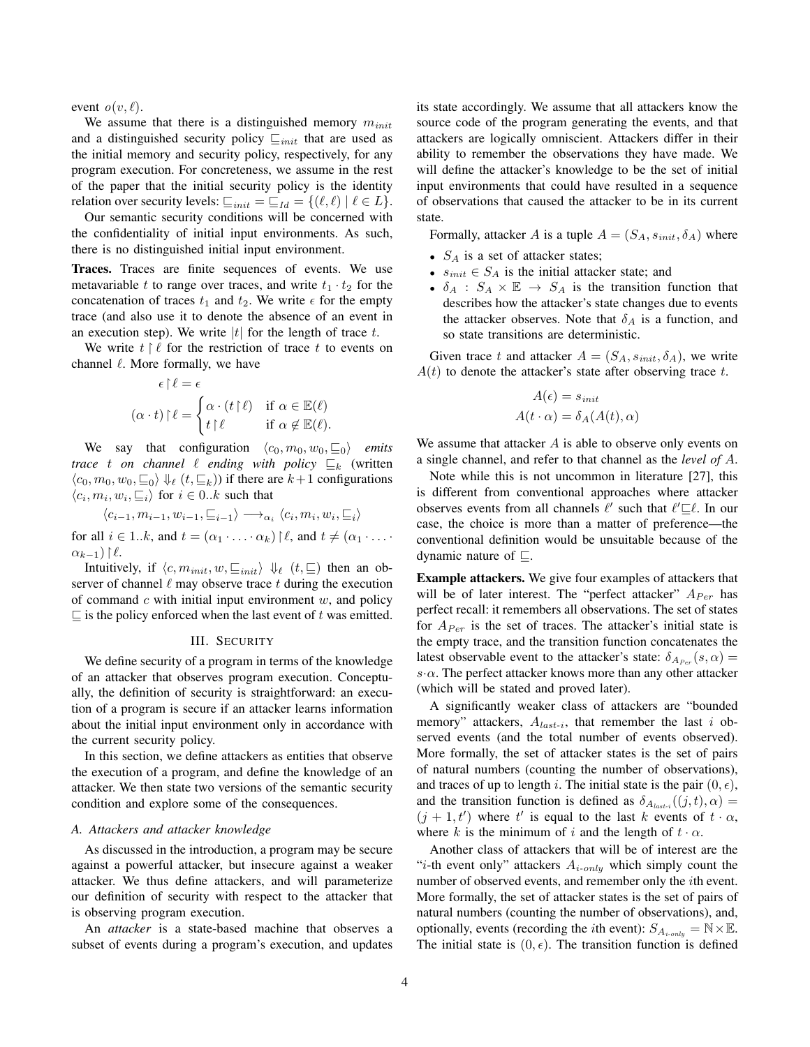event  $o(v, \ell)$ .

We assume that there is a distinguished memory  $m_{init}$ and a distinguished security policy  $\mathcal{L}_{init}$  that are used as the initial memory and security policy, respectively, for any program execution. For concreteness, we assume in the rest of the paper that the initial security policy is the identity relation over security levels:  $\sqsubseteq_{init} = \sqsubseteq_{Id} = \{(\ell, \ell) | \ell \in L\}.$ 

Our semantic security conditions will be concerned with the confidentiality of initial input environments. As such, there is no distinguished initial input environment.

Traces. Traces are finite sequences of events. We use metavariable t to range over traces, and write  $t_1 \cdot t_2$  for the concatenation of traces  $t_1$  and  $t_2$ . We write  $\epsilon$  for the empty trace (and also use it to denote the absence of an event in an execution step). We write |t| for the length of trace  $t$ .

We write  $t \restriction \ell$  for the restriction of trace t to events on channel  $\ell$ . More formally, we have

$$
\epsilon \upharpoonright \ell = \epsilon
$$
  

$$
(\alpha \cdot t) \upharpoonright \ell = \begin{cases} \alpha \cdot (t \upharpoonright \ell) & \text{if } \alpha \in \mathbb{E}(\ell) \\ t \upharpoonright \ell & \text{if } \alpha \notin \mathbb{E}(\ell). \end{cases}
$$

We say that configuration  $\langle c_0, m_0, w_0, \sqsubseteq_0 \rangle$  *emits trace t on channel*  $\ell$  *ending with policy*  $\subseteq_k$  (written  $\langle c_0, m_0, w_0, \underline{\sqsubseteq}_0 \rangle \Downarrow_{\ell} (t, \underline{\sqsubseteq}_k)$  if there are  $k+1$  configurations  $\langle c_i, m_i, w_i, \sqsubseteq_i \rangle$  for  $i \in 0..k$  such that

$$
\langle c_{i-1},m_{i-1},w_{i-1},\sqsubseteq_{i-1}\rangle \longrightarrow_{\alpha_i} \langle c_i,m_i,w_i,\sqsubseteq_i\rangle
$$

for all  $i \in 1..k$ , and  $t = (\alpha_1 \cdot \ldots \cdot \alpha_k) \upharpoonright \ell$ , and  $t \neq (\alpha_1 \cdot \ldots \cdot \alpha_k)$  $\alpha_{k-1}) \restriction \ell$ .

Intuitively, if  $\langle c, m_{init}, w, \sqsubseteq_{init} \rangle \Downarrow_{\ell} (t, \sqsubseteq)$  then an observer of channel  $\ell$  may observe trace t during the execution of command  $c$  with initial input environment  $w$ , and policy  $\sqsubseteq$  is the policy enforced when the last event of t was emitted.

### III. SECURITY

We define security of a program in terms of the knowledge of an attacker that observes program execution. Conceptually, the definition of security is straightforward: an execution of a program is secure if an attacker learns information about the initial input environment only in accordance with the current security policy.

In this section, we define attackers as entities that observe the execution of a program, and define the knowledge of an attacker. We then state two versions of the semantic security condition and explore some of the consequences.

#### *A. Attackers and attacker knowledge*

As discussed in the introduction, a program may be secure against a powerful attacker, but insecure against a weaker attacker. We thus define attackers, and will parameterize our definition of security with respect to the attacker that is observing program execution.

An *attacker* is a state-based machine that observes a subset of events during a program's execution, and updates its state accordingly. We assume that all attackers know the source code of the program generating the events, and that attackers are logically omniscient. Attackers differ in their ability to remember the observations they have made. We will define the attacker's knowledge to be the set of initial input environments that could have resulted in a sequence of observations that caused the attacker to be in its current state.

Formally, attacker A is a tuple  $A = (S_A, s_{init}, \delta_A)$  where

- $S_A$  is a set of attacker states;
- $s_{init} \in S_A$  is the initial attacker state; and
- $\delta_A$  :  $S_A \times \mathbb{E} \rightarrow S_A$  is the transition function that describes how the attacker's state changes due to events the attacker observes. Note that  $\delta_A$  is a function, and so state transitions are deterministic.

Given trace t and attacker  $A = (S_A, s_{init}, \delta_A)$ , we write  $A(t)$  to denote the attacker's state after observing trace t.

$$
A(\epsilon) = s_{init}
$$

$$
A(t \cdot \alpha) = \delta_A(A(t), \alpha)
$$

We assume that attacker  $A$  is able to observe only events on a single channel, and refer to that channel as the *level of* A.

Note while this is not uncommon in literature [27], this is different from conventional approaches where attacker observes events from all channels  $\ell'$  such that  $\ell' \sqsubseteq \ell$ . In our case, the choice is more than a matter of preference—the conventional definition would be unsuitable because of the dynamic nature of  $\sqsubseteq$ .

Example attackers. We give four examples of attackers that will be of later interest. The "perfect attacker"  $A_{Per}$  has perfect recall: it remembers all observations. The set of states for  $A_{Per}$  is the set of traces. The attacker's initial state is the empty trace, and the transition function concatenates the latest observable event to the attacker's state:  $\delta_{A_{Per}}(s, \alpha) =$  $s \cdot \alpha$ . The perfect attacker knows more than any other attacker (which will be stated and proved later).

A significantly weaker class of attackers are "bounded memory" attackers,  $A_{last-i}$ , that remember the last i observed events (and the total number of events observed). More formally, the set of attacker states is the set of pairs of natural numbers (counting the number of observations), and traces of up to length i. The initial state is the pair  $(0, \epsilon)$ , and the transition function is defined as  $\delta_{A_{last-i}}((j,t), \alpha) =$  $(j + 1, t')$  where t' is equal to the last k events of  $t \cdot \alpha$ , where k is the minimum of i and the length of  $t \cdot \alpha$ .

Another class of attackers that will be of interest are the "*i*-th event only" attackers  $A_{i-only}$  which simply count the number of observed events, and remember only the ith event. More formally, the set of attacker states is the set of pairs of natural numbers (counting the number of observations), and, optionally, events (recording the *i*th event):  $S_{A_{i \text{-}only}} = \mathbb{N} \times \mathbb{E}$ . The initial state is  $(0, \epsilon)$ . The transition function is defined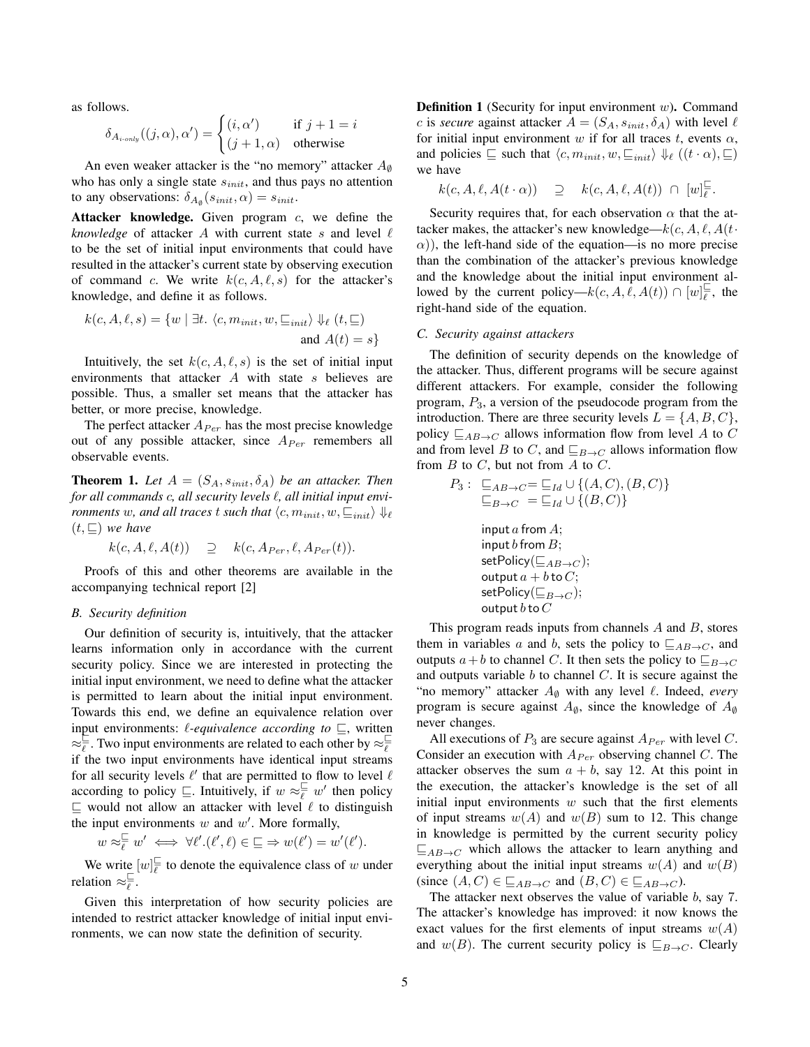as follows.

$$
\delta_{A_{i\text{only}}}((j,\alpha),\alpha') = \begin{cases} (i,\alpha') & \text{if } j+1=i\\ (j+1,\alpha) & \text{otherwise} \end{cases}
$$

An even weaker attacker is the "no memory" attacker  $A_{\emptyset}$ who has only a single state  $s_{init}$ , and thus pays no attention to any observations:  $\delta_{A_{\emptyset}}(s_{init}, \alpha) = s_{init}$ .

Attacker knowledge. Given program  $c$ , we define the *knowledge* of attacker A with current state s and level  $\ell$ to be the set of initial input environments that could have resulted in the attacker's current state by observing execution of command c. We write  $k(c, A, \ell, s)$  for the attacker's knowledge, and define it as follows.

$$
k(c, A, \ell, s) = \{w \mid \exists t. \langle c, m_{init}, w, \sqsubseteq_{init} \rangle \Downarrow_{\ell} (t, \sqsubseteq)
$$
  
and  $A(t) = s\}$ 

Intuitively, the set  $k(c, A, \ell, s)$  is the set of initial input environments that attacker  $A$  with state  $s$  believes are possible. Thus, a smaller set means that the attacker has better, or more precise, knowledge.

The perfect attacker  $A_{Per}$  has the most precise knowledge out of any possible attacker, since  $A_{Per}$  remembers all observable events.

**Theorem 1.** Let  $A = (S_A, s_{init}, \delta_A)$  be an attacker. Then for all commands c, all security levels  $\ell$ , all initial input envi*ronments* w, and all traces t such that  $\langle c, m_{init}, w, \underline{\sqsubseteq}_{init} \rangle \Downarrow_{\ell}$  $(t, \sqsubseteq)$  *we have* 

$$
k(c, A, \ell, A(t)) \quad \supseteq \quad k(c, A_{Per}, \ell, A_{Per}(t)).
$$

Proofs of this and other theorems are available in the accompanying technical report [2]

## *B. Security definition*

Our definition of security is, intuitively, that the attacker learns information only in accordance with the current security policy. Since we are interested in protecting the initial input environment, we need to define what the attacker is permitted to learn about the initial input environment. Towards this end, we define an equivalence relation over input environments:  $\ell$ -equivalence according to  $\sqsubseteq$ , written  $\approx_{\ell}^{\mathbb{L}}$ . Two input environments are related to each other by  $\approx_{\ell}^{\mathbb{L}}$ if the two input environments have identical input streams for all security levels  $\ell'$  that are permitted to flow to level  $\ell$ according to policy  $\sqsubseteq$ . Intuitively, if  $w \approx_{\ell}^{\sqsubseteq} w'$  then policy  $\subseteq$  would not allow an attacker with level  $\ell$  to distinguish the input environments  $w$  and  $w'$ . More formally,

$$
w \approx_{\ell}^{\sqsubseteq} w' \iff \forall \ell'.(\ell',\ell) \in \sqsubseteq \Rightarrow w(\ell') = w'(\ell').
$$

We write  $[w]_{\ell}^{\sqsubseteq}$  to denote the equivalence class of w under relation  $\approx_{\ell}^{\sqsubseteq}$ .

Given this interpretation of how security policies are intended to restrict attacker knowledge of initial input environments, we can now state the definition of security.

**Definition 1** (Security for input environment  $w$ ). Command c is *secure* against attacker  $A = (S_A, s_{init}, \delta_A)$  with level  $\ell$ for initial input environment w if for all traces t, events  $\alpha$ , and policies  $\subseteq$  such that  $\langle c, m_{init}, w, \subseteq_{init} \rangle \Downarrow_{\ell} ((t \cdot \alpha), \subseteq)$ we have

 $k(c, A, \ell, A(t \cdot \alpha)) \supseteq k(c, A, \ell, A(t)) \ \cap \ [w]_{\ell}^{\sqsubseteq}.$ 

Security requires that, for each observation  $\alpha$  that the attacker makes, the attacker's new knowledge— $k(c, A, \ell, A(t))$  $\alpha$ ), the left-hand side of the equation—is no more precise than the combination of the attacker's previous knowledge and the knowledge about the initial input environment allowed by the current policy— $k(c, A, \ell, A(t)) \cap [w]_{\ell}^{\sqsubseteq}$ , the right-hand side of the equation.

#### *C. Security against attackers*

The definition of security depends on the knowledge of the attacker. Thus, different programs will be secure against different attackers. For example, consider the following program,  $P_3$ , a version of the pseudocode program from the introduction. There are three security levels  $L = \{A, B, C\},\$ policy  $\sqsubseteq_{AB\to C}$  allows information flow from level A to C and from level B to C, and  $\sqsubseteq_{B\to C}$  allows information flow from  $B$  to  $C$ , but not from  $A$  to  $C$ .

$$
P_3: \ \sqsubseteq_{AB \to C} = \sqsubseteq_{Id} \cup \{(A, C), (B, C)\}
$$

$$
\sqsubseteq_{B \to C} = \sqsubseteq_{Id} \cup \{(B, C)\}
$$

input a from A;  
input b from B;  
setPolicy(
$$
\sqsubseteq_{AB \rightarrow C}
$$
);  
output a + b to C;  
setPolicy( $\sqsubseteq_{B \rightarrow C}$ );  
output b to C

This program reads inputs from channels A and B, stores them in variables a and b, sets the policy to  $\sqsubseteq_{AB\rightarrow C}$ , and outputs  $a+b$  to channel C. It then sets the policy to  $\sqsubseteq_{B\to C}$ and outputs variable  $b$  to channel  $C$ . It is secure against the "no memory" attacker  $A_{\emptyset}$  with any level  $\ell$ . Indeed, *every* program is secure against  $A_{\emptyset}$ , since the knowledge of  $A_{\emptyset}$ never changes.

All executions of  $P_3$  are secure against  $A_{Per}$  with level C. Consider an execution with  $A_{Per}$  observing channel C. The attacker observes the sum  $a + b$ , say 12. At this point in the execution, the attacker's knowledge is the set of all initial input environments  $w$  such that the first elements of input streams  $w(A)$  and  $w(B)$  sum to 12. This change in knowledge is permitted by the current security policy  $\sqsubseteq_{AB\rightarrow C}$  which allows the attacker to learn anything and everything about the initial input streams  $w(A)$  and  $w(B)$ (since  $(A, C) \in \sqsubseteq_{AB \to C}$  and  $(B, C) \in \sqsubseteq_{AB \to C}$ ).

The attacker next observes the value of variable b, say 7. The attacker's knowledge has improved: it now knows the exact values for the first elements of input streams  $w(A)$ and  $w(B)$ . The current security policy is  $\sqsubseteq_{B\to C}$ . Clearly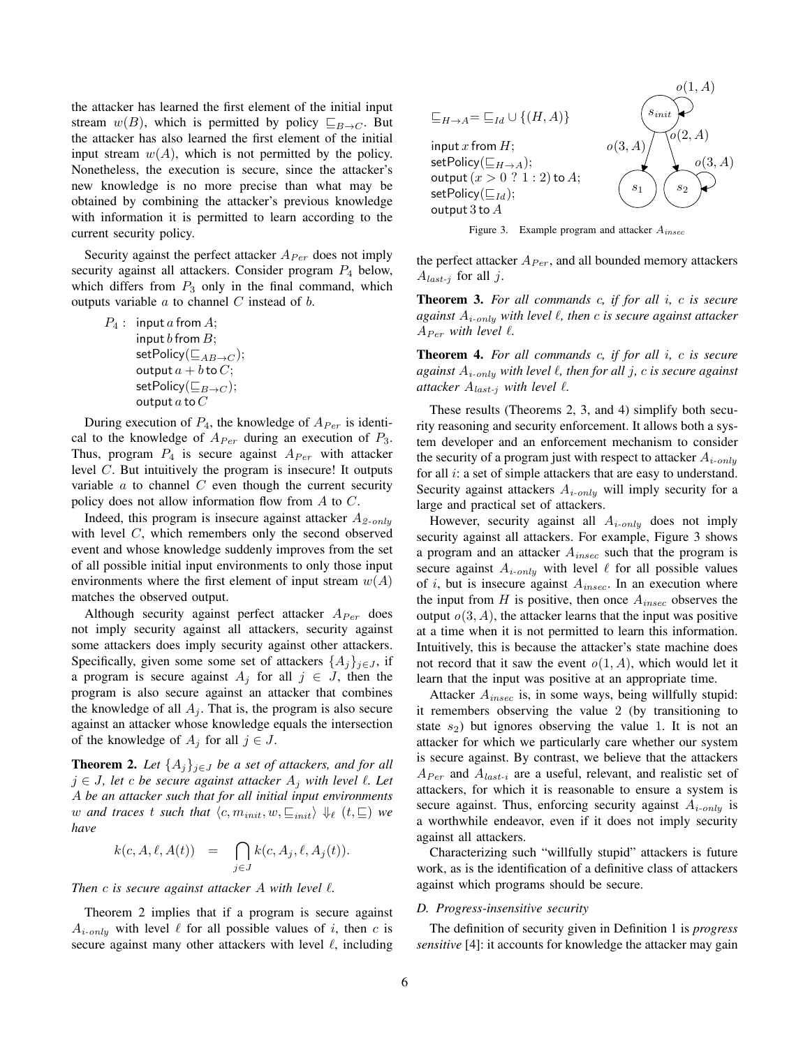the attacker has learned the first element of the initial input stream  $w(B)$ , which is permitted by policy  $\sqsubseteq_{B\to C}$ . But the attacker has also learned the first element of the initial input stream  $w(A)$ , which is not permitted by the policy. Nonetheless, the execution is secure, since the attacker's new knowledge is no more precise than what may be obtained by combining the attacker's previous knowledge with information it is permitted to learn according to the current security policy.

Security against the perfect attacker  $A_{Per}$  does not imply security against all attackers. Consider program  $P_4$  below, which differs from  $P_3$  only in the final command, which outputs variable  $a$  to channel  $C$  instead of  $b$ .

> $P_4$ : input a from A; input  $b$  from  $B$ ; setPolicy( $\sqsubseteq_{AB\rightarrow C}$ ); output  $a + b$  to  $C$ ; setPolicy( $\sqsubseteq_{B\to C}$ ); output  $a$  to  $C$

During execution of  $P_4$ , the knowledge of  $A_{Per}$  is identical to the knowledge of  $A_{Per}$  during an execution of  $P_3$ . Thus, program  $P_4$  is secure against  $A_{Per}$  with attacker level C. But intuitively the program is insecure! It outputs variable  $a$  to channel  $C$  even though the current security policy does not allow information flow from  $A$  to  $C$ .

Indeed, this program is insecure against attacker  $A_{2\text{-}only}$ with level C, which remembers only the second observed event and whose knowledge suddenly improves from the set of all possible initial input environments to only those input environments where the first element of input stream  $w(A)$ matches the observed output.

Although security against perfect attacker  $A_{Per}$  does not imply security against all attackers, security against some attackers does imply security against other attackers. Specifically, given some some set of attackers  $\{A_j\}_{j\in J}$ , if a program is secure against  $A_j$  for all  $j \in J$ , then the program is also secure against an attacker that combines the knowledge of all  $A_j$ . That is, the program is also secure against an attacker whose knowledge equals the intersection of the knowledge of  $A_j$  for all  $j \in J$ .

**Theorem 2.** *Let*  $\{A_j\}_{j\in J}$  *be a set of attackers, and for all j* ∈ *J*, let *c be secure against attacker*  $A_j$  *with level*  $\ell$ *. Let* A *be an attacker such that for all initial input environments w* and traces t such that  $\langle c, m_{init}, w, \underline{\sqsubseteq}_{init} \rangle \Downarrow_{\ell} (t, \underline{\sqsubseteq})$  we *have*

$$
k(c, A, \ell, A(t)) = \bigcap_{j \in J} k(c, A_j, \ell, A_j(t)).
$$

*Then*  $c$  *is secure against attacker*  $\overline{A}$  *with level*  $\ell$ *.* 

Theorem 2 implies that if a program is secure against  $A_{i-only}$  with level  $\ell$  for all possible values of i, then c is secure against many other attackers with level  $\ell$ , including

$$
\square_{H\to A} = \square_{Id} \cup \{(H, A)\}\
$$
\n
$$
\square_{H\to A} = \square_{Id} \cup \{(H, A)\}\
$$
\n
$$
\square_{H\to A} \cup \{\text{limit}\}
$$
\n
$$
\square_{A} \cup \{\text{right} \cup \{\text{right} \cup \text{right} \cup \text{right} \cup \text{right} \cup \text{right} \cup \text{right} \cup \text{right} \cup \text{right} \cup \text{right} \cup \text{right} \cup \text{right} \cup \text{right} \cup \text{right} \cup \text{right} \cup \text{right} \cup \text{right} \cup \text{right} \cup \text{right} \cup \text{right} \cup \text{right} \cup \text{right} \cup \text{right} \cup \text{right} \cup \text{right} \cup \text{right} \cup \text{right} \cup \text{right} \cup \text{right} \cup \text{right} \cup \text{right} \cup \text{right} \cup \text{right} \cup \text{right} \cup \text{right} \cup \text{right} \cup \text{right} \cup \text{right} \cup \text{right} \cup \text{right} \cup \text{right} \cup \text{right} \cup \text{right} \cup \text{right} \cup \text{right} \cup \text{right} \cup \text{right} \cup \text{right} \cup \text{right} \cup \text{right} \cup \text{right} \cup \text{right} \cup \text{right} \cup \text{right} \cup \text{right} \cup \text{right} \cup \text{right} \cup \text{right} \cup \text{right} \cup \text{right} \cup \text{right} \cup \text{right} \cup \text{right} \cup \text{right} \cup \text{right} \cup \text{right} \cup \text{right} \cup \text{right} \cup \text{right} \cup \text{right} \cup \text{right} \cup \text{right} \cup \text{right} \cup \text{right} \cup \text{right} \cup \text{right} \cup \text{right} \cup \text{right} \cup \text{right} \cup \text{right} \cup \text{right} \cup \text{right} \cup \text{right} \cup \text{right} \cup \text{right} \cup \text{right} \cup \text{right} \cup \text{right} \cup \text{right} \cup \text{right} \cup \text{right} \cup \text{right} \cup \text{right} \cup \text{right} \cup \text{right
$$

Figure 3. Example program and attacker  $A_{insec}$ 

the perfect attacker  $A_{Per}$ , and all bounded memory attackers  $A_{last-j}$  for all j.

Theorem 3. *For all commands* c*, if for all* i*,* c *is secure against* Ai*-*only *with level* `*, then* c *is secure against attacker*  $A_{Per}$  *with level*  $\ell$ *.* 

Theorem 4. *For all commands* c*, if for all* i*,* c *is secure against*  $A_{i\text{-}only}$  *with level*  $\ell$ *, then for all j, c is secure against attacker*  $A_{last-i}$  *with level*  $\ell$ *.* 

These results (Theorems 2, 3, and 4) simplify both security reasoning and security enforcement. It allows both a system developer and an enforcement mechanism to consider the security of a program just with respect to attacker  $A_{i-only}$ for all *i*: a set of simple attackers that are easy to understand. Security against attackers  $A_{i-only}$  will imply security for a large and practical set of attackers.

However, security against all  $A_{i-only}$  does not imply security against all attackers. For example, Figure 3 shows a program and an attacker  $A_{insec}$  such that the program is secure against  $A_{i-only}$  with level  $\ell$  for all possible values of i, but is insecure against  $A_{insec}$ . In an execution where the input from H is positive, then once  $A_{insec}$  observes the output  $o(3, A)$ , the attacker learns that the input was positive at a time when it is not permitted to learn this information. Intuitively, this is because the attacker's state machine does not record that it saw the event  $o(1, A)$ , which would let it learn that the input was positive at an appropriate time.

Attacker  $A_{insec}$  is, in some ways, being willfully stupid: it remembers observing the value 2 (by transitioning to state  $s_2$ ) but ignores observing the value 1. It is not an attacker for which we particularly care whether our system is secure against. By contrast, we believe that the attackers  $A_{Per}$  and  $A_{last-i}$  are a useful, relevant, and realistic set of attackers, for which it is reasonable to ensure a system is secure against. Thus, enforcing security against  $A_{i-only}$  is a worthwhile endeavor, even if it does not imply security against all attackers.

Characterizing such "willfully stupid" attackers is future work, as is the identification of a definitive class of attackers against which programs should be secure.

#### *D. Progress-insensitive security*

The definition of security given in Definition 1 is *progress sensitive* [4]: it accounts for knowledge the attacker may gain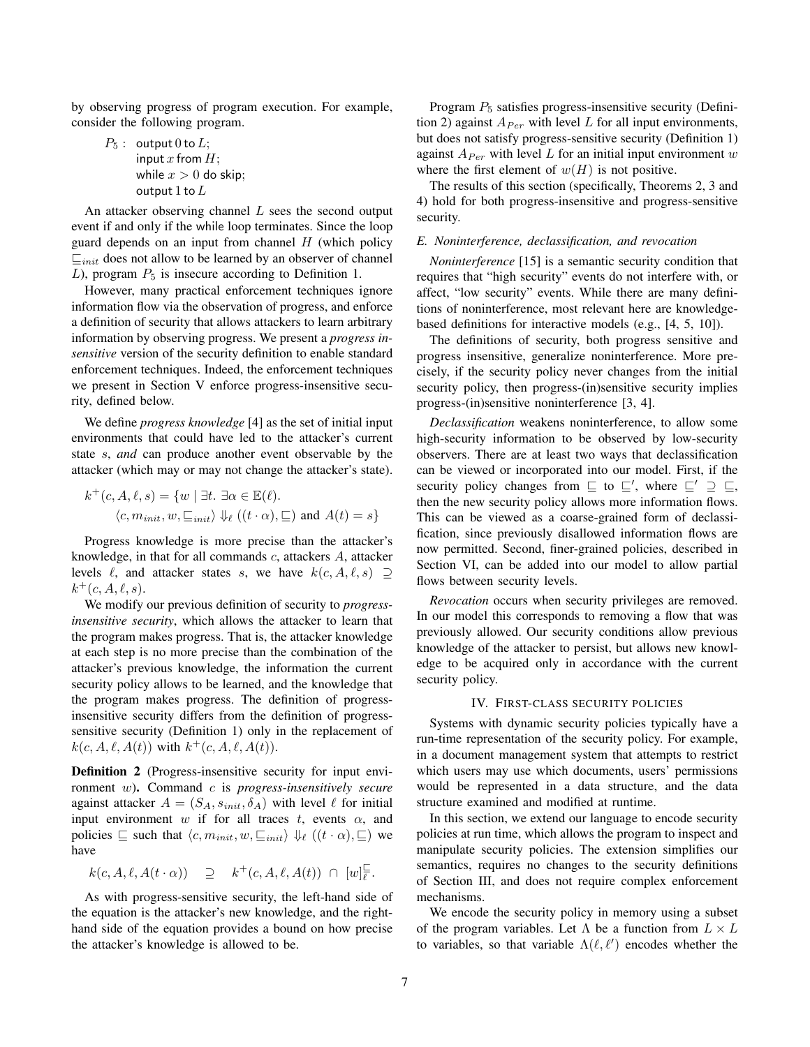by observing progress of program execution. For example, consider the following program.

> $P_5$ : output 0 to L; input x from  $H$ ; while  $x > 0$  do skip; output 1 to  $L$

An attacker observing channel L sees the second output event if and only if the while loop terminates. Since the loop guard depends on an input from channel  $H$  (which policy  $\mathcal{L}_{init}$  does not allow to be learned by an observer of channel  $L$ ), program  $P_5$  is insecure according to Definition 1.

However, many practical enforcement techniques ignore information flow via the observation of progress, and enforce a definition of security that allows attackers to learn arbitrary information by observing progress. We present a *progress insensitive* version of the security definition to enable standard enforcement techniques. Indeed, the enforcement techniques we present in Section V enforce progress-insensitive security, defined below.

We define *progress knowledge* [4] as the set of initial input environments that could have led to the attacker's current state s, *and* can produce another event observable by the attacker (which may or may not change the attacker's state).

$$
k^+(c, A, \ell, s) = \{w \mid \exists t. \ \exists \alpha \in \mathbb{E}(\ell).
$$

$$
\langle c, m_{init}, w, \sqsubseteq_{init} \rangle \Downarrow_{\ell} ((t \cdot \alpha), \sqsubseteq) \text{ and } A(t) = s \}
$$

Progress knowledge is more precise than the attacker's knowledge, in that for all commands c, attackers A, attacker levels  $\ell$ , and attacker states s, we have  $k(c, A, \ell, s) \supset$  $k^+(c, A, \ell, s).$ 

We modify our previous definition of security to *progressinsensitive security*, which allows the attacker to learn that the program makes progress. That is, the attacker knowledge at each step is no more precise than the combination of the attacker's previous knowledge, the information the current security policy allows to be learned, and the knowledge that the program makes progress. The definition of progressinsensitive security differs from the definition of progresssensitive security (Definition 1) only in the replacement of  $k(c, A, \ell, A(t))$  with  $k^+(c, A, \ell, A(t)).$ 

Definition 2 (Progress-insensitive security for input environment w). Command c is *progress-insensitively secure* against attacker  $A = (S_A, s_{init}, \delta_A)$  with level  $\ell$  for initial input environment w if for all traces t, events  $\alpha$ , and policies  $\subseteq$  such that  $\langle c, m_{init}, w, \subseteq_{init} \rangle \Downarrow_{\ell} ((t \cdot \alpha), \subseteq)$  we have

$$
k(c, A, \ell, A(t \cdot \alpha)) \quad \supseteq \quad k^+(c, A, \ell, A(t)) \ \cap \ [w]_{\ell}^{\sqsubseteq}.
$$

As with progress-sensitive security, the left-hand side of the equation is the attacker's new knowledge, and the righthand side of the equation provides a bound on how precise the attacker's knowledge is allowed to be.

Program  $P_5$  satisfies progress-insensitive security (Definition 2) against  $A_{Per}$  with level L for all input environments, but does not satisfy progress-sensitive security (Definition 1) against  $A_{Per}$  with level L for an initial input environment w where the first element of  $w(H)$  is not positive.

The results of this section (specifically, Theorems 2, 3 and 4) hold for both progress-insensitive and progress-sensitive security.

# *E. Noninterference, declassification, and revocation*

*Noninterference* [15] is a semantic security condition that requires that "high security" events do not interfere with, or affect, "low security" events. While there are many definitions of noninterference, most relevant here are knowledgebased definitions for interactive models (e.g., [4, 5, 10]).

The definitions of security, both progress sensitive and progress insensitive, generalize noninterference. More precisely, if the security policy never changes from the initial security policy, then progress-(in)sensitive security implies progress-(in)sensitive noninterference [3, 4].

*Declassification* weakens noninterference, to allow some high-security information to be observed by low-security observers. There are at least two ways that declassification can be viewed or incorporated into our model. First, if the security policy changes from  $\subseteq$  to  $\subseteq'$ , where  $\subseteq' \supseteq \subseteq$ , then the new security policy allows more information flows. This can be viewed as a coarse-grained form of declassification, since previously disallowed information flows are now permitted. Second, finer-grained policies, described in Section VI, can be added into our model to allow partial flows between security levels.

*Revocation* occurs when security privileges are removed. In our model this corresponds to removing a flow that was previously allowed. Our security conditions allow previous knowledge of the attacker to persist, but allows new knowledge to be acquired only in accordance with the current security policy.

#### IV. FIRST-CLASS SECURITY POLICIES

Systems with dynamic security policies typically have a run-time representation of the security policy. For example, in a document management system that attempts to restrict which users may use which documents, users' permissions would be represented in a data structure, and the data structure examined and modified at runtime.

In this section, we extend our language to encode security policies at run time, which allows the program to inspect and manipulate security policies. The extension simplifies our semantics, requires no changes to the security definitions of Section III, and does not require complex enforcement mechanisms.

We encode the security policy in memory using a subset of the program variables. Let  $\Lambda$  be a function from  $L \times L$ to variables, so that variable  $\Lambda(\ell, \ell')$  encodes whether the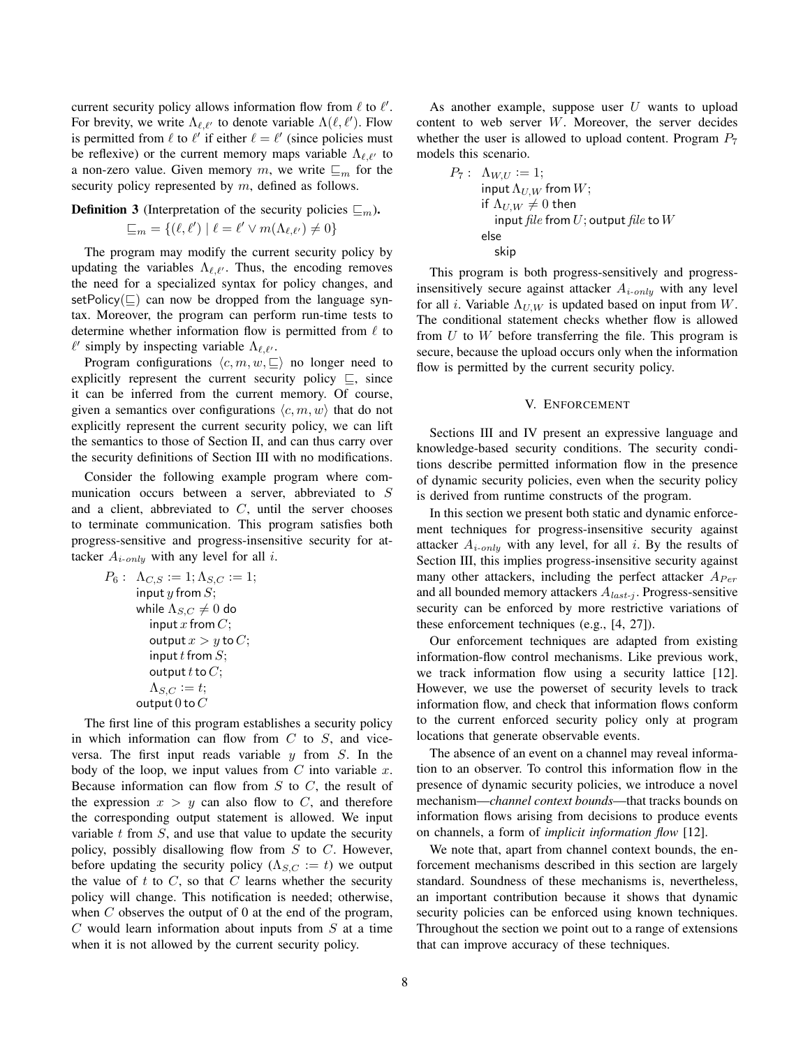current security policy allows information flow from  $\ell$  to  $\ell'$ . For brevity, we write  $\Lambda_{\ell,\ell'}$  to denote variable  $\Lambda(\ell,\ell')$ . Flow is permitted from  $\ell$  to  $\ell'$  if either  $\ell = \ell'$  (since policies must be reflexive) or the current memory maps variable  $\Lambda_{\ell,\ell'}$  to a non-zero value. Given memory m, we write  $\mathcal{F}_m$  for the security policy represented by  $m$ , defined as follows.

# **Definition 3** (Interpretation of the security policies  $\mathcal{F}_m$ ).  $\mathcal{L}_m = \{(\ell, \ell') \mid \ell = \ell' \lor m(\Lambda_{\ell, \ell'}) \neq 0\}$

The program may modify the current security policy by updating the variables  $\Lambda_{\ell,\ell'}$ . Thus, the encoding removes the need for a specialized syntax for policy changes, and setPolicy( $\subseteq$ ) can now be dropped from the language syntax. Moreover, the program can perform run-time tests to determine whether information flow is permitted from  $\ell$  to  $\ell'$  simply by inspecting variable  $\Lambda_{\ell,\ell'}$ .

Program configurations  $\langle c, m, w, \sqsubseteq \rangle$  no longer need to explicitly represent the current security policy  $\sqsubseteq$ , since it can be inferred from the current memory. Of course, given a semantics over configurations  $\langle c, m, w \rangle$  that do not explicitly represent the current security policy, we can lift the semantics to those of Section II, and can thus carry over the security definitions of Section III with no modifications.

Consider the following example program where communication occurs between a server, abbreviated to S and a client, abbreviated to  $C$ , until the server chooses to terminate communication. This program satisfies both progress-sensitive and progress-insensitive security for attacker  $A_{i\text{-}only}$  with any level for all i.

$$
P_6: \Delta_{C,S} := 1; \Delta_{S,C} := 1;
$$
  
input y from S;  
while  $\Delta_{S,C} \neq 0$  do  
input x from C;  
output x > y to C;  
input t from S;  
output t to C;  
 $\Delta_{S,C} := t;$   
output 0 to C

The first line of this program establishes a security policy in which information can flow from  $C$  to  $S$ , and viceversa. The first input reads variable  $y$  from  $S$ . In the body of the loop, we input values from  $C$  into variable  $x$ . Because information can flow from  $S$  to  $C$ , the result of the expression  $x > y$  can also flow to C, and therefore the corresponding output statement is allowed. We input variable  $t$  from  $S$ , and use that value to update the security policy, possibly disallowing flow from  $S$  to  $C$ . However, before updating the security policy ( $\Lambda_{S,C} := t$ ) we output the value of t to  $C$ , so that  $C$  learns whether the security policy will change. This notification is needed; otherwise, when  $C$  observes the output of 0 at the end of the program,  $C$  would learn information about inputs from  $S$  at a time when it is not allowed by the current security policy.

As another example, suppose user  $U$  wants to upload content to web server W. Moreover, the server decides whether the user is allowed to upload content. Program  $P_7$ models this scenario.

$$
P_7: \Delta_{W,U} := 1;
$$
  
input  $\Delta_{U,W}$  from W;  
if  $\Delta_{U,W} \neq 0$  then  
input file from U; output file to W  
else  
skip

This program is both progress-sensitively and progressinsensitively secure against attacker  $A_{i\text{-}only}$  with any level for all *i*. Variable  $\Lambda_{U,W}$  is updated based on input from W. The conditional statement checks whether flow is allowed from  $U$  to  $W$  before transferring the file. This program is secure, because the upload occurs only when the information flow is permitted by the current security policy.

#### V. ENFORCEMENT

Sections III and IV present an expressive language and knowledge-based security conditions. The security conditions describe permitted information flow in the presence of dynamic security policies, even when the security policy is derived from runtime constructs of the program.

In this section we present both static and dynamic enforcement techniques for progress-insensitive security against attacker  $A_{i-only}$  with any level, for all i. By the results of Section III, this implies progress-insensitive security against many other attackers, including the perfect attacker  $A_{Per}$ and all bounded memory attackers  $A_{last-j}$ . Progress-sensitive security can be enforced by more restrictive variations of these enforcement techniques (e.g., [4, 27]).

Our enforcement techniques are adapted from existing information-flow control mechanisms. Like previous work, we track information flow using a security lattice [12]. However, we use the powerset of security levels to track information flow, and check that information flows conform to the current enforced security policy only at program locations that generate observable events.

The absence of an event on a channel may reveal information to an observer. To control this information flow in the presence of dynamic security policies, we introduce a novel mechanism—*channel context bounds*—that tracks bounds on information flows arising from decisions to produce events on channels, a form of *implicit information flow* [12].

We note that, apart from channel context bounds, the enforcement mechanisms described in this section are largely standard. Soundness of these mechanisms is, nevertheless, an important contribution because it shows that dynamic security policies can be enforced using known techniques. Throughout the section we point out to a range of extensions that can improve accuracy of these techniques.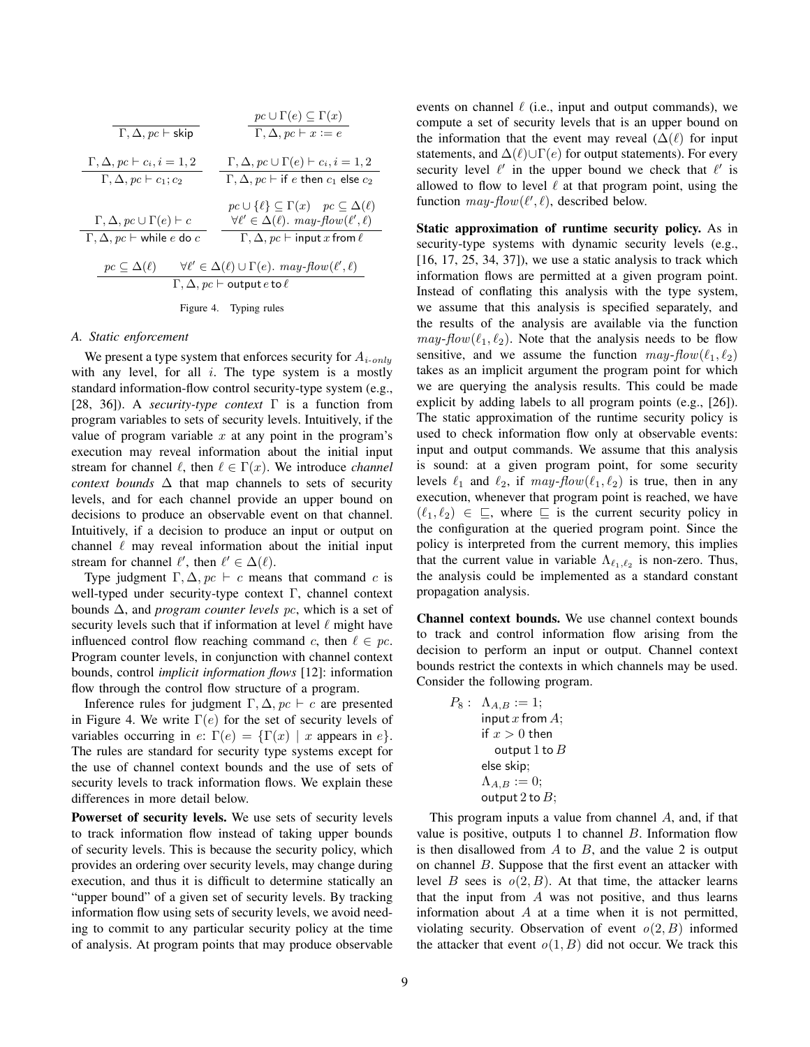| $pc \cup \Gamma(e) \subseteq \Gamma(x)$                       |                                                                                 |                             |
|---------------------------------------------------------------|---------------------------------------------------------------------------------|-----------------------------|
| $\Gamma, \Delta, pc \vdash \text{skip}$                       | $pc \cup \Gamma(e) \subseteq \Gamma(x)$                                         |                             |
| $\Gamma, \Delta, pc \vdash c_i, i = 1, 2$                     | $\Gamma, \Delta, pc \cup \Gamma(e) \vdash c_i, i = 1, 2$                        |                             |
| $\Gamma, \Delta, pc \vdash c_1, c_2$                          | $\Gamma, \Delta, pc \cup \Gamma(e) \vdash c_i, i = 1, 2$                        |                             |
| $\Gamma, \Delta, pc \cup \Gamma(e) \vdash c$                  | $pc \cup \{\ell\} \subseteq \Gamma(x)$                                          | $pc \subseteq \Delta(\ell)$ |
| $\Gamma, \Delta, pc \vdash \text{while } e \text{ do } c$     | $\forall \ell' \in \Delta(\ell) \text{. } may-flow(\ell', \ell)$                |                             |
| $pc \subseteq \Delta(\ell)$                                   | $\forall \ell' \in \Delta(\ell) \cup \Gamma(e) \text{. } may-flow(\ell', \ell)$ |                             |
| $\Gamma, \Delta, pc \vdash \text{output } e \text{ to } \ell$ |                                                                                 |                             |

#### Figure 4. Typing rules

#### *A. Static enforcement*

We present a type system that enforces security for  $A_{i\text{-}only}$ with any level, for all  $i$ . The type system is a mostly standard information-flow control security-type system (e.g., [28, 36]). A *security-type context* Γ is a function from program variables to sets of security levels. Intuitively, if the value of program variable  $x$  at any point in the program's execution may reveal information about the initial input stream for channel  $\ell$ , then  $\ell \in \Gamma(x)$ . We introduce *channel context bounds*  $\Delta$  that map channels to sets of security levels, and for each channel provide an upper bound on decisions to produce an observable event on that channel. Intuitively, if a decision to produce an input or output on channel  $\ell$  may reveal information about the initial input stream for channel  $\ell'$ , then  $\ell' \in \Delta(\ell)$ .

Type judgment  $\Gamma, \Delta, pc \vdash c$  means that command c is well-typed under security-type context Γ, channel context bounds ∆, and *program counter levels* pc, which is a set of security levels such that if information at level  $\ell$  might have influenced control flow reaching command c, then  $\ell \in pc$ . Program counter levels, in conjunction with channel context bounds, control *implicit information flows* [12]: information flow through the control flow structure of a program.

Inference rules for judgment  $\Gamma, \Delta, pc \vdash c$  are presented in Figure 4. We write  $\Gamma(e)$  for the set of security levels of variables occurring in  $e: \Gamma(e) = \{\Gamma(x) \mid x \text{ appears in } e\}.$ The rules are standard for security type systems except for the use of channel context bounds and the use of sets of security levels to track information flows. We explain these differences in more detail below.

Powerset of security levels. We use sets of security levels to track information flow instead of taking upper bounds of security levels. This is because the security policy, which provides an ordering over security levels, may change during execution, and thus it is difficult to determine statically an "upper bound" of a given set of security levels. By tracking information flow using sets of security levels, we avoid needing to commit to any particular security policy at the time of analysis. At program points that may produce observable events on channel  $\ell$  (i.e., input and output commands), we compute a set of security levels that is an upper bound on the information that the event may reveal ( $\Delta(\ell)$  for input statements, and  $\Delta(\ell) \cup \Gamma(\epsilon)$  for output statements). For every security level  $\ell'$  in the upper bound we check that  $\ell'$  is allowed to flow to level  $\ell$  at that program point, using the function  $may \text{-}flow(\ell', \ell)$ , described below.

Static approximation of runtime security policy. As in security-type systems with dynamic security levels (e.g., [16, 17, 25, 34, 37]), we use a static analysis to track which information flows are permitted at a given program point. Instead of conflating this analysis with the type system, we assume that this analysis is specified separately, and the results of the analysis are available via the function  $may \text{-}flow(\ell_1, \ell_2)$ . Note that the analysis needs to be flow sensitive, and we assume the function  $may \text{-}flow(\ell_1, \ell_2)$ takes as an implicit argument the program point for which we are querying the analysis results. This could be made explicit by adding labels to all program points (e.g., [26]). The static approximation of the runtime security policy is used to check information flow only at observable events: input and output commands. We assume that this analysis is sound: at a given program point, for some security levels  $\ell_1$  and  $\ell_2$ , if  $may-flow(\ell_1, \ell_2)$  is true, then in any execution, whenever that program point is reached, we have  $(\ell_1, \ell_2) \in \square$ , where  $\square$  is the current security policy in the configuration at the queried program point. Since the policy is interpreted from the current memory, this implies that the current value in variable  $\Lambda_{\ell_1,\ell_2}$  is non-zero. Thus, the analysis could be implemented as a standard constant propagation analysis.

Channel context bounds. We use channel context bounds to track and control information flow arising from the decision to perform an input or output. Channel context bounds restrict the contexts in which channels may be used. Consider the following program.

$$
P_8: \ \Lambda_{A,B} := 1;
$$
  
input *x* from *A*;  
if *x* > 0 then  
output 1 to *B*  
else skip;  

$$
\Lambda_{A,B} := 0;
$$
  
output 2 to *B*;

This program inputs a value from channel A, and, if that value is positive, outputs 1 to channel  $B$ . Information flow is then disallowed from  $A$  to  $B$ , and the value 2 is output on channel B. Suppose that the first event an attacker with level B sees is  $o(2, B)$ . At that time, the attacker learns that the input from  $A$  was not positive, and thus learns information about  $A$  at a time when it is not permitted, violating security. Observation of event  $o(2, B)$  informed the attacker that event  $o(1, B)$  did not occur. We track this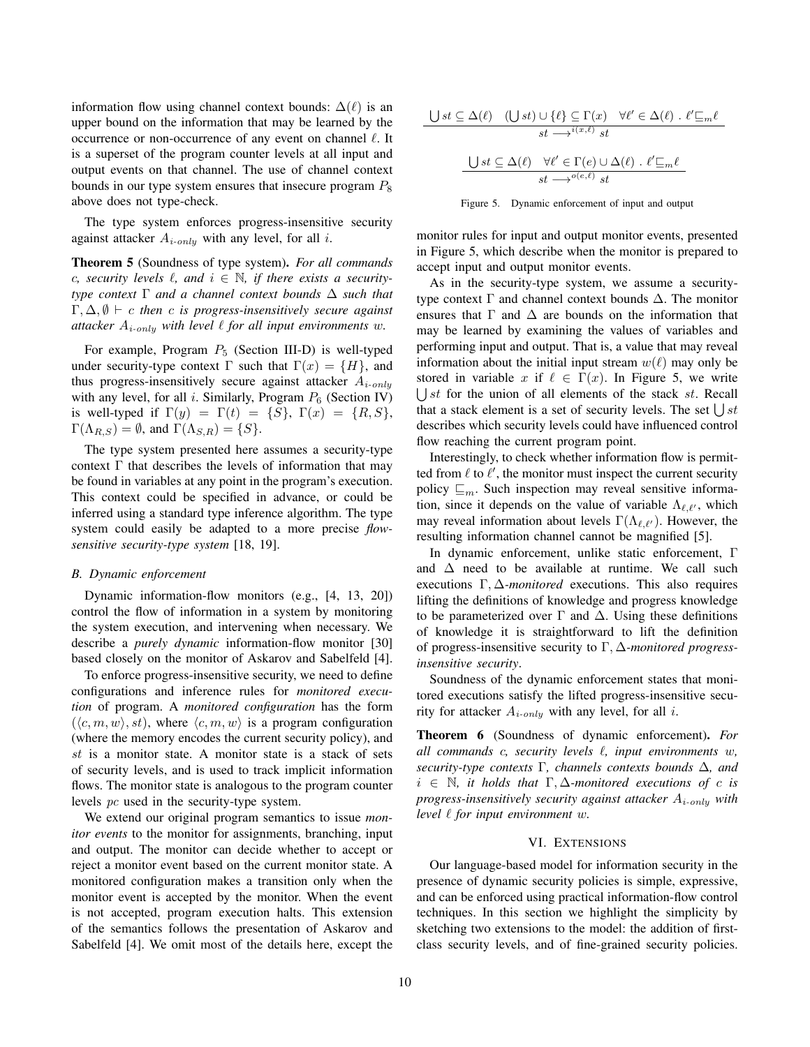information flow using channel context bounds:  $\Delta(\ell)$  is an upper bound on the information that may be learned by the occurrence or non-occurrence of any event on channel  $\ell$ . It is a superset of the program counter levels at all input and output events on that channel. The use of channel context bounds in our type system ensures that insecure program  $P_8$ above does not type-check.

The type system enforces progress-insensitive security against attacker  $A_{i-only}$  with any level, for all *i*.

Theorem 5 (Soundness of type system). *For all commands c*, security levels  $\ell$ , and  $i \in \mathbb{N}$ , if there exists a security*type context* Γ *and a channel context bounds* ∆ *such that*  $\Gamma, \Delta, \emptyset \vdash c$  *then* c *is progress-insensitively secure against attacker*  $A_{i-only}$  *with level*  $\ell$  *for all input environments w.* 

For example, Program  $P_5$  (Section III-D) is well-typed under security-type context  $\Gamma$  such that  $\Gamma(x) = \{H\}$ , and thus progress-insensitively secure against attacker  $A_{i-only}$ with any level, for all *i*. Similarly, Program  $P_6$  (Section IV) is well-typed if  $\Gamma(y) = \Gamma(t) = \{S\}$ ,  $\Gamma(x) = \{R, S\}$ ,  $\Gamma(\Lambda_{R,S}) = \emptyset$ , and  $\Gamma(\Lambda_{S,R}) = \{S\}.$ 

The type system presented here assumes a security-type context  $\Gamma$  that describes the levels of information that may be found in variables at any point in the program's execution. This context could be specified in advance, or could be inferred using a standard type inference algorithm. The type system could easily be adapted to a more precise *flowsensitive security-type system* [18, 19].

## *B. Dynamic enforcement*

Dynamic information-flow monitors (e.g., [4, 13, 20]) control the flow of information in a system by monitoring the system execution, and intervening when necessary. We describe a *purely dynamic* information-flow monitor [30] based closely on the monitor of Askarov and Sabelfeld [4].

To enforce progress-insensitive security, we need to define configurations and inference rules for *monitored execution* of program. A *monitored configuration* has the form  $(\langle c, m, w \rangle, st)$ , where  $\langle c, m, w \rangle$  is a program configuration (where the memory encodes the current security policy), and st is a monitor state. A monitor state is a stack of sets of security levels, and is used to track implicit information flows. The monitor state is analogous to the program counter levels pc used in the security-type system.

We extend our original program semantics to issue *monitor events* to the monitor for assignments, branching, input and output. The monitor can decide whether to accept or reject a monitor event based on the current monitor state. A monitored configuration makes a transition only when the monitor event is accepted by the monitor. When the event is not accepted, program execution halts. This extension of the semantics follows the presentation of Askarov and Sabelfeld [4]. We omit most of the details here, except the

$$
\begin{aligned} \underbrace{\bigcup st \subseteq \Delta(\ell) \quad (\bigcup st) \cup \{\ell\} \subseteq \Gamma(x) \quad \forall \ell' \in \Delta(\ell) \ . \ \ell' \sqsubseteq_m \ell}_{st \longrightarrow^{i(x,\ell)} st} \\ &\underbrace{\bigcup st \subseteq \Delta(\ell) \quad \forall \ell' \in \Gamma(e) \cup \Delta(\ell) \ . \ \ell' \sqsubseteq_m \ell}_{st \longrightarrow^{o(e,\ell)} st} \end{aligned}
$$

Figure 5. Dynamic enforcement of input and output

monitor rules for input and output monitor events, presented in Figure 5, which describe when the monitor is prepared to accept input and output monitor events.

As in the security-type system, we assume a securitytype context  $\Gamma$  and channel context bounds  $\Delta$ . The monitor ensures that  $\Gamma$  and  $\Delta$  are bounds on the information that may be learned by examining the values of variables and performing input and output. That is, a value that may reveal information about the initial input stream  $w(\ell)$  may only be stored in variable x if  $\ell \in \Gamma(x)$ . In Figure 5, we write  $\bigcup$  st for the union of all elements of the stack st. Recall that a stack element is a set of security levels. The set  $\bigcup st$ describes which security levels could have influenced control flow reaching the current program point.

Interestingly, to check whether information flow is permitted from  $\ell$  to  $\ell'$ , the monitor must inspect the current security policy  $\mathcal{L}_m$ . Such inspection may reveal sensitive information, since it depends on the value of variable  $\Lambda_{\ell,\ell'}$ , which may reveal information about levels  $\Gamma(\Lambda_{\ell,\ell'})$ . However, the resulting information channel cannot be magnified [5].

In dynamic enforcement, unlike static enforcement, Γ and  $\Delta$  need to be available at runtime. We call such executions Γ, ∆*-monitored* executions. This also requires lifting the definitions of knowledge and progress knowledge to be parameterized over  $\Gamma$  and  $\Delta$ . Using these definitions of knowledge it is straightforward to lift the definition of progress-insensitive security to Γ, ∆*-monitored progressinsensitive security*.

Soundness of the dynamic enforcement states that monitored executions satisfy the lifted progress-insensitive security for attacker  $A_{i-only}$  with any level, for all *i*.

Theorem 6 (Soundness of dynamic enforcement). *For all commands* c*, security levels* `*, input environments* w*, security-type contexts* Γ*, channels contexts bounds* ∆*, and*  $i \in \mathbb{N}$ , *it holds that*  $\Gamma$ ,  $\Delta$ *-monitored executions of c is progress-insensitively security against attacker* A<sup>i</sup>*-*only *with level*  $\ell$  *for input environment w*.

## VI. EXTENSIONS

Our language-based model for information security in the presence of dynamic security policies is simple, expressive, and can be enforced using practical information-flow control techniques. In this section we highlight the simplicity by sketching two extensions to the model: the addition of firstclass security levels, and of fine-grained security policies.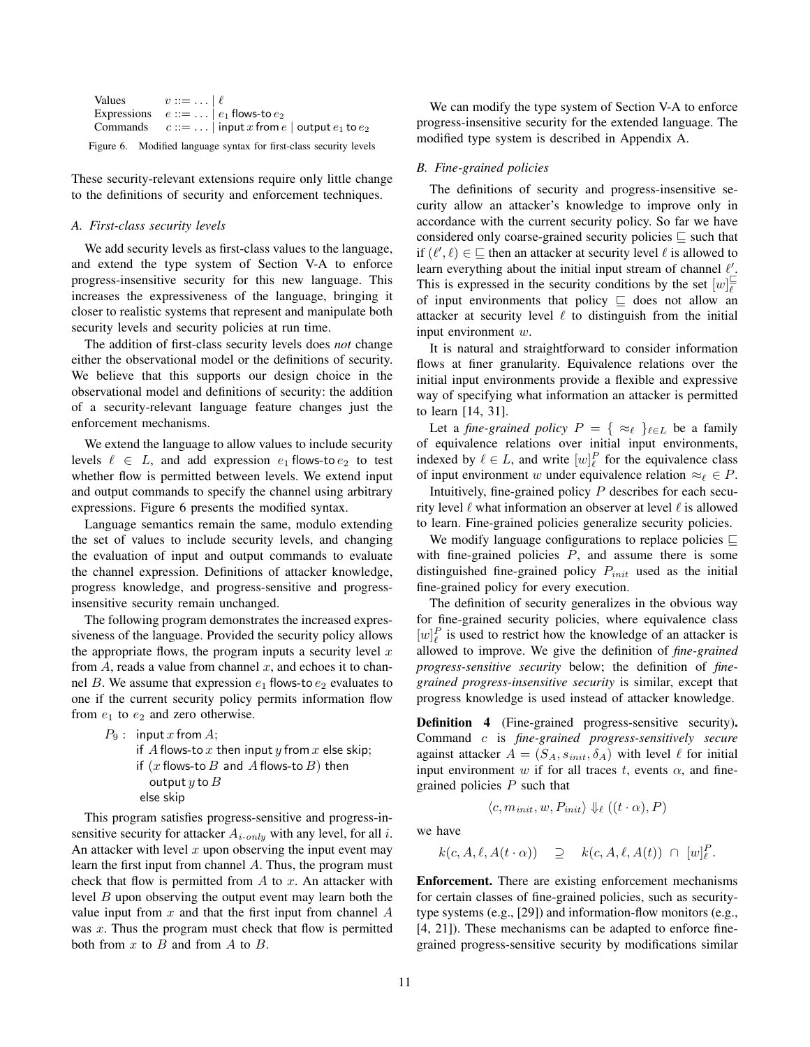| Values $v ::= \ldots   \ell$ |                                                                    |
|------------------------------|--------------------------------------------------------------------|
|                              | Expressions $e ::= \dots   e_1$ flows-to $e_2$                     |
|                              | Commands $c ::= \ldots  $ input x from $e  $ output $e_1$ to $e_2$ |

Figure 6. Modified language syntax for first-class security levels

These security-relevant extensions require only little change to the definitions of security and enforcement techniques.

## *A. First-class security levels*

We add security levels as first-class values to the language, and extend the type system of Section V-A to enforce progress-insensitive security for this new language. This increases the expressiveness of the language, bringing it closer to realistic systems that represent and manipulate both security levels and security policies at run time.

The addition of first-class security levels does *not* change either the observational model or the definitions of security. We believe that this supports our design choice in the observational model and definitions of security: the addition of a security-relevant language feature changes just the enforcement mechanisms.

We extend the language to allow values to include security levels  $\ell \in L$ , and add expression  $e_1$  flows-to  $e_2$  to test whether flow is permitted between levels. We extend input and output commands to specify the channel using arbitrary expressions. Figure 6 presents the modified syntax.

Language semantics remain the same, modulo extending the set of values to include security levels, and changing the evaluation of input and output commands to evaluate the channel expression. Definitions of attacker knowledge, progress knowledge, and progress-sensitive and progressinsensitive security remain unchanged.

The following program demonstrates the increased expressiveness of the language. Provided the security policy allows the appropriate flows, the program inputs a security level  $x$ from  $A$ , reads a value from channel  $x$ , and echoes it to channel B. We assume that expression  $e_1$  flows-to  $e_2$  evaluates to one if the current security policy permits information flow from  $e_1$  to  $e_2$  and zero otherwise.

$$
P_9
$$
: input *x* from *A*;  
\nif *A* flows-to *x* then input *y* from *x* else skip;  
\nif  $(x$  flows-to *B* and *A* flows-to *B*) then  
\noutput *y* to *B*  
\nelse skip

This program satisfies progress-sensitive and progress-insensitive security for attacker  $A_{i-only}$  with any level, for all i. An attacker with level  $x$  upon observing the input event may learn the first input from channel A. Thus, the program must check that flow is permitted from  $A$  to  $x$ . An attacker with level B upon observing the output event may learn both the value input from  $x$  and that the first input from channel  $A$ was  $x$ . Thus the program must check that flow is permitted both from  $x$  to  $B$  and from  $A$  to  $B$ .

We can modify the type system of Section V-A to enforce progress-insensitive security for the extended language. The modified type system is described in Appendix A.

## *B. Fine-grained policies*

The definitions of security and progress-insensitive security allow an attacker's knowledge to improve only in accordance with the current security policy. So far we have considered only coarse-grained security policies  $\Box$  such that if  $(\ell', \ell) \in \square$  then an attacker at security level  $\ell$  is allowed to learn everything about the initial input stream of channel  $\ell'$ . This is expressed in the security conditions by the set  $[w]_e^{\mathsf{C}}$ of input environments that policy  $\subseteq$  does not allow an attacker at security level  $\ell$  to distinguish from the initial input environment w.

It is natural and straightforward to consider information flows at finer granularity. Equivalence relations over the initial input environments provide a flexible and expressive way of specifying what information an attacker is permitted to learn [14, 31].

Let a *fine-grained policy*  $P = \{ \approx_{\ell} \}_{\ell \in L}$  be a family of equivalence relations over initial input environments, indexed by  $\ell \in L$ , and write  $[w]_{\ell}^P$  for the equivalence class of input environment w under equivalence relation  $\approx_{\ell} \in P$ .

Intuitively, fine-grained policy P describes for each security level  $\ell$  what information an observer at level  $\ell$  is allowed to learn. Fine-grained policies generalize security policies.

We modify language configurations to replace policies  $\Box$ with fine-grained policies  $P$ , and assume there is some distinguished fine-grained policy  $P_{init}$  used as the initial fine-grained policy for every execution.

The definition of security generalizes in the obvious way for fine-grained security policies, where equivalence class  $[w]_{\ell}^P$  is used to restrict how the knowledge of an attacker is allowed to improve. We give the definition of *fine-grained progress-sensitive security* below; the definition of *finegrained progress-insensitive security* is similar, except that progress knowledge is used instead of attacker knowledge.

Definition 4 (Fine-grained progress-sensitive security). Command c is *fine-grained progress-sensitively secure* against attacker  $A = (S_A, s_{init}, \delta_A)$  with level  $\ell$  for initial input environment w if for all traces t, events  $\alpha$ , and finegrained policies  $P$  such that

$$
\langle c, m_{init}, w, P_{init} \rangle \Downarrow_{\ell} ((t \cdot \alpha), P)
$$

we have

 $k(c, A, \ell, A(t \cdot \alpha)) \supseteq k(c, A, \ell, A(t)) \cap [w]_{\ell}^P.$ 

Enforcement. There are existing enforcement mechanisms for certain classes of fine-grained policies, such as securitytype systems (e.g., [29]) and information-flow monitors (e.g., [4, 21]). These mechanisms can be adapted to enforce finegrained progress-sensitive security by modifications similar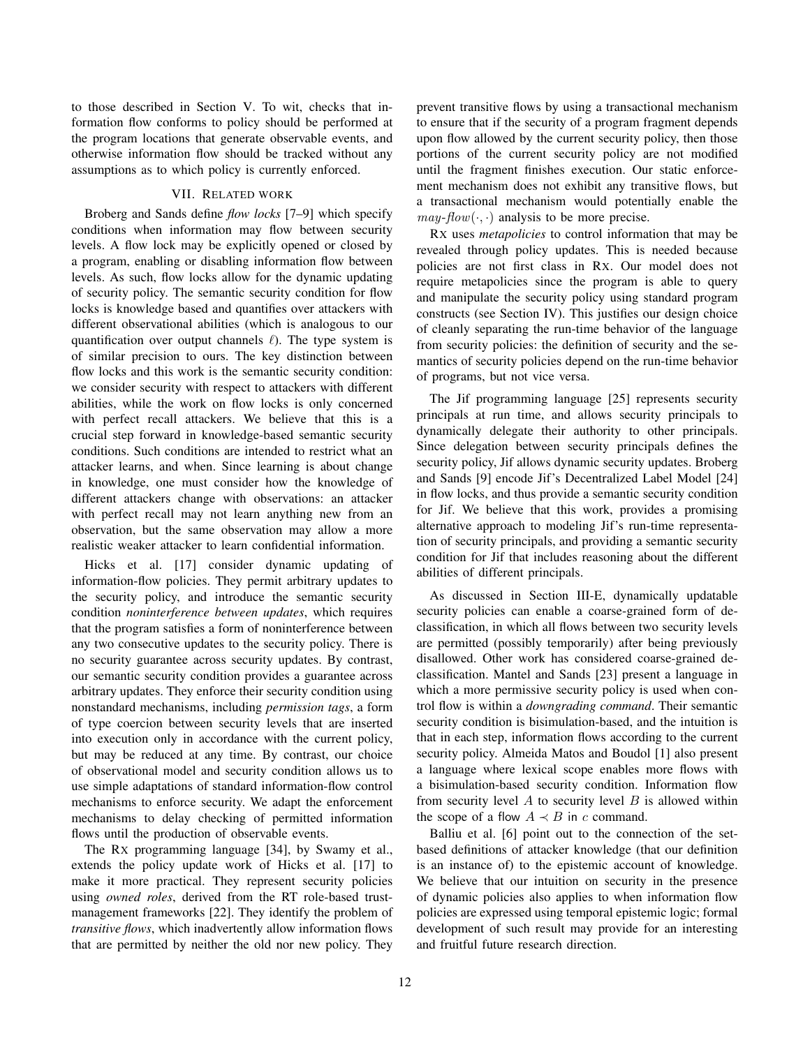to those described in Section V. To wit, checks that information flow conforms to policy should be performed at the program locations that generate observable events, and otherwise information flow should be tracked without any assumptions as to which policy is currently enforced.

# VII. RELATED WORK

Broberg and Sands define *flow locks* [7–9] which specify conditions when information may flow between security levels. A flow lock may be explicitly opened or closed by a program, enabling or disabling information flow between levels. As such, flow locks allow for the dynamic updating of security policy. The semantic security condition for flow locks is knowledge based and quantifies over attackers with different observational abilities (which is analogous to our quantification over output channels  $\ell$ ). The type system is of similar precision to ours. The key distinction between flow locks and this work is the semantic security condition: we consider security with respect to attackers with different abilities, while the work on flow locks is only concerned with perfect recall attackers. We believe that this is a crucial step forward in knowledge-based semantic security conditions. Such conditions are intended to restrict what an attacker learns, and when. Since learning is about change in knowledge, one must consider how the knowledge of different attackers change with observations: an attacker with perfect recall may not learn anything new from an observation, but the same observation may allow a more realistic weaker attacker to learn confidential information.

Hicks et al. [17] consider dynamic updating of information-flow policies. They permit arbitrary updates to the security policy, and introduce the semantic security condition *noninterference between updates*, which requires that the program satisfies a form of noninterference between any two consecutive updates to the security policy. There is no security guarantee across security updates. By contrast, our semantic security condition provides a guarantee across arbitrary updates. They enforce their security condition using nonstandard mechanisms, including *permission tags*, a form of type coercion between security levels that are inserted into execution only in accordance with the current policy, but may be reduced at any time. By contrast, our choice of observational model and security condition allows us to use simple adaptations of standard information-flow control mechanisms to enforce security. We adapt the enforcement mechanisms to delay checking of permitted information flows until the production of observable events.

The RX programming language [34], by Swamy et al., extends the policy update work of Hicks et al. [17] to make it more practical. They represent security policies using *owned roles*, derived from the RT role-based trustmanagement frameworks [22]. They identify the problem of *transitive flows*, which inadvertently allow information flows that are permitted by neither the old nor new policy. They prevent transitive flows by using a transactional mechanism to ensure that if the security of a program fragment depends upon flow allowed by the current security policy, then those portions of the current security policy are not modified until the fragment finishes execution. Our static enforcement mechanism does not exhibit any transitive flows, but a transactional mechanism would potentially enable the  $may \text{-}flow(\cdot, \cdot)$  analysis to be more precise.

RX uses *metapolicies* to control information that may be revealed through policy updates. This is needed because policies are not first class in RX. Our model does not require metapolicies since the program is able to query and manipulate the security policy using standard program constructs (see Section IV). This justifies our design choice of cleanly separating the run-time behavior of the language from security policies: the definition of security and the semantics of security policies depend on the run-time behavior of programs, but not vice versa.

The Jif programming language [25] represents security principals at run time, and allows security principals to dynamically delegate their authority to other principals. Since delegation between security principals defines the security policy, Jif allows dynamic security updates. Broberg and Sands [9] encode Jif's Decentralized Label Model [24] in flow locks, and thus provide a semantic security condition for Jif. We believe that this work, provides a promising alternative approach to modeling Jif's run-time representation of security principals, and providing a semantic security condition for Jif that includes reasoning about the different abilities of different principals.

As discussed in Section III-E, dynamically updatable security policies can enable a coarse-grained form of declassification, in which all flows between two security levels are permitted (possibly temporarily) after being previously disallowed. Other work has considered coarse-grained declassification. Mantel and Sands [23] present a language in which a more permissive security policy is used when control flow is within a *downgrading command*. Their semantic security condition is bisimulation-based, and the intuition is that in each step, information flows according to the current security policy. Almeida Matos and Boudol [1] also present a language where lexical scope enables more flows with a bisimulation-based security condition. Information flow from security level  $A$  to security level  $B$  is allowed within the scope of a flow  $A \prec B$  in c command.

Balliu et al. [6] point out to the connection of the setbased definitions of attacker knowledge (that our definition is an instance of) to the epistemic account of knowledge. We believe that our intuition on security in the presence of dynamic policies also applies to when information flow policies are expressed using temporal epistemic logic; formal development of such result may provide for an interesting and fruitful future research direction.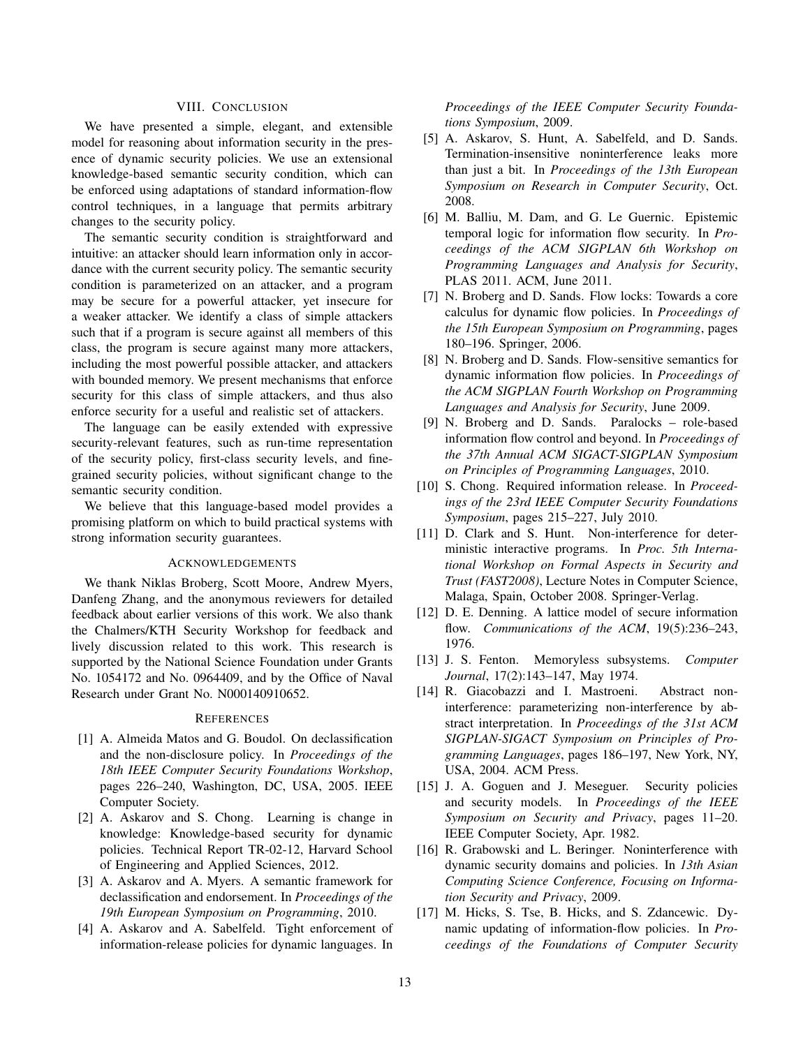# VIII. CONCLUSION

We have presented a simple, elegant, and extensible model for reasoning about information security in the presence of dynamic security policies. We use an extensional knowledge-based semantic security condition, which can be enforced using adaptations of standard information-flow control techniques, in a language that permits arbitrary changes to the security policy.

The semantic security condition is straightforward and intuitive: an attacker should learn information only in accordance with the current security policy. The semantic security condition is parameterized on an attacker, and a program may be secure for a powerful attacker, yet insecure for a weaker attacker. We identify a class of simple attackers such that if a program is secure against all members of this class, the program is secure against many more attackers, including the most powerful possible attacker, and attackers with bounded memory. We present mechanisms that enforce security for this class of simple attackers, and thus also enforce security for a useful and realistic set of attackers.

The language can be easily extended with expressive security-relevant features, such as run-time representation of the security policy, first-class security levels, and finegrained security policies, without significant change to the semantic security condition.

We believe that this language-based model provides a promising platform on which to build practical systems with strong information security guarantees.

#### ACKNOWLEDGEMENTS

We thank Niklas Broberg, Scott Moore, Andrew Myers, Danfeng Zhang, and the anonymous reviewers for detailed feedback about earlier versions of this work. We also thank the Chalmers/KTH Security Workshop for feedback and lively discussion related to this work. This research is supported by the National Science Foundation under Grants No. 1054172 and No. 0964409, and by the Office of Naval Research under Grant No. N000140910652.

## **REFERENCES**

- [1] A. Almeida Matos and G. Boudol. On declassification and the non-disclosure policy. In *Proceedings of the 18th IEEE Computer Security Foundations Workshop*, pages 226–240, Washington, DC, USA, 2005. IEEE Computer Society.
- [2] A. Askarov and S. Chong. Learning is change in knowledge: Knowledge-based security for dynamic policies. Technical Report TR-02-12, Harvard School of Engineering and Applied Sciences, 2012.
- [3] A. Askarov and A. Myers. A semantic framework for declassification and endorsement. In *Proceedings of the 19th European Symposium on Programming*, 2010.
- [4] A. Askarov and A. Sabelfeld. Tight enforcement of information-release policies for dynamic languages. In

*Proceedings of the IEEE Computer Security Foundations Symposium*, 2009.

- [5] A. Askarov, S. Hunt, A. Sabelfeld, and D. Sands. Termination-insensitive noninterference leaks more than just a bit. In *Proceedings of the 13th European Symposium on Research in Computer Security*, Oct. 2008.
- [6] M. Balliu, M. Dam, and G. Le Guernic. Epistemic temporal logic for information flow security. In *Proceedings of the ACM SIGPLAN 6th Workshop on Programming Languages and Analysis for Security*, PLAS 2011. ACM, June 2011.
- [7] N. Broberg and D. Sands. Flow locks: Towards a core calculus for dynamic flow policies. In *Proceedings of the 15th European Symposium on Programming*, pages 180–196. Springer, 2006.
- [8] N. Broberg and D. Sands. Flow-sensitive semantics for dynamic information flow policies. In *Proceedings of the ACM SIGPLAN Fourth Workshop on Programming Languages and Analysis for Security*, June 2009.
- [9] N. Broberg and D. Sands. Paralocks role-based information flow control and beyond. In *Proceedings of the 37th Annual ACM SIGACT-SIGPLAN Symposium on Principles of Programming Languages*, 2010.
- [10] S. Chong. Required information release. In *Proceedings of the 23rd IEEE Computer Security Foundations Symposium*, pages 215–227, July 2010.
- [11] D. Clark and S. Hunt. Non-interference for deterministic interactive programs. In *Proc. 5th International Workshop on Formal Aspects in Security and Trust (FAST2008)*, Lecture Notes in Computer Science, Malaga, Spain, October 2008. Springer-Verlag.
- [12] D. E. Denning. A lattice model of secure information flow. *Communications of the ACM*, 19(5):236–243, 1976.
- [13] J. S. Fenton. Memoryless subsystems. *Computer Journal*, 17(2):143–147, May 1974.
- [14] R. Giacobazzi and I. Mastroeni. Abstract noninterference: parameterizing non-interference by abstract interpretation. In *Proceedings of the 31st ACM SIGPLAN-SIGACT Symposium on Principles of Programming Languages*, pages 186–197, New York, NY, USA, 2004. ACM Press.
- [15] J. A. Goguen and J. Meseguer. Security policies and security models. In *Proceedings of the IEEE Symposium on Security and Privacy*, pages 11–20. IEEE Computer Society, Apr. 1982.
- [16] R. Grabowski and L. Beringer. Noninterference with dynamic security domains and policies. In *13th Asian Computing Science Conference, Focusing on Information Security and Privacy*, 2009.
- [17] M. Hicks, S. Tse, B. Hicks, and S. Zdancewic. Dynamic updating of information-flow policies. In *Proceedings of the Foundations of Computer Security*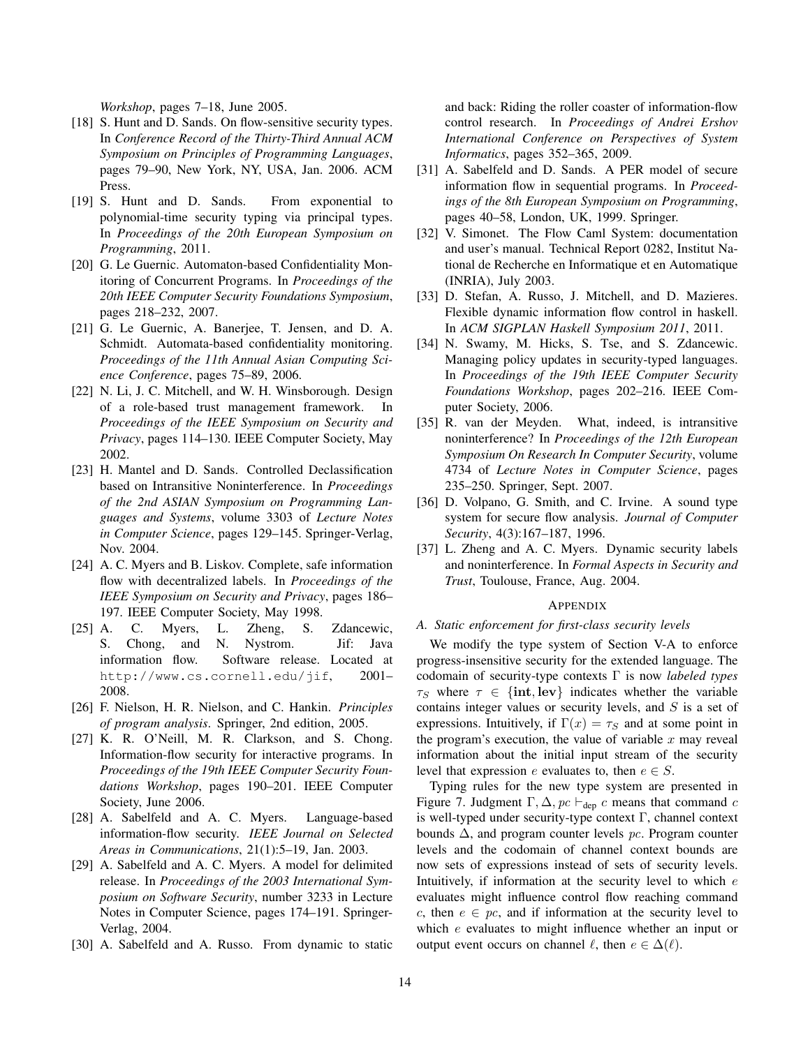*Workshop*, pages 7–18, June 2005.

- [18] S. Hunt and D. Sands. On flow-sensitive security types. In *Conference Record of the Thirty-Third Annual ACM Symposium on Principles of Programming Languages*, pages 79–90, New York, NY, USA, Jan. 2006. ACM Press.
- [19] S. Hunt and D. Sands. From exponential to polynomial-time security typing via principal types. In *Proceedings of the 20th European Symposium on Programming*, 2011.
- [20] G. Le Guernic. Automaton-based Confidentiality Monitoring of Concurrent Programs. In *Proceedings of the 20th IEEE Computer Security Foundations Symposium*, pages 218–232, 2007.
- [21] G. Le Guernic, A. Banerjee, T. Jensen, and D. A. Schmidt. Automata-based confidentiality monitoring. *Proceedings of the 11th Annual Asian Computing Science Conference*, pages 75–89, 2006.
- [22] N. Li, J. C. Mitchell, and W. H. Winsborough. Design of a role-based trust management framework. In *Proceedings of the IEEE Symposium on Security and Privacy*, pages 114–130. IEEE Computer Society, May 2002.
- [23] H. Mantel and D. Sands. Controlled Declassification based on Intransitive Noninterference. In *Proceedings of the 2nd ASIAN Symposium on Programming Languages and Systems*, volume 3303 of *Lecture Notes in Computer Science*, pages 129–145. Springer-Verlag, Nov. 2004.
- [24] A. C. Myers and B. Liskov. Complete, safe information flow with decentralized labels. In *Proceedings of the IEEE Symposium on Security and Privacy*, pages 186– 197. IEEE Computer Society, May 1998.
- [25] A. C. Myers, L. Zheng, S. Zdancewic, S. Chong, and N. Nystrom. Jif: Java information flow. Software release. Located at http://www.cs.cornell.edu/jif, 2001– 2008.
- [26] F. Nielson, H. R. Nielson, and C. Hankin. *Principles of program analysis*. Springer, 2nd edition, 2005.
- [27] K. R. O'Neill, M. R. Clarkson, and S. Chong. Information-flow security for interactive programs. In *Proceedings of the 19th IEEE Computer Security Foundations Workshop*, pages 190–201. IEEE Computer Society, June 2006.
- [28] A. Sabelfeld and A. C. Myers. Language-based information-flow security. *IEEE Journal on Selected Areas in Communications*, 21(1):5–19, Jan. 2003.
- [29] A. Sabelfeld and A. C. Myers. A model for delimited release. In *Proceedings of the 2003 International Symposium on Software Security*, number 3233 in Lecture Notes in Computer Science, pages 174–191. Springer-Verlag, 2004.
- [30] A. Sabelfeld and A. Russo. From dynamic to static

and back: Riding the roller coaster of information-flow control research. In *Proceedings of Andrei Ershov International Conference on Perspectives of System Informatics*, pages 352–365, 2009.

- [31] A. Sabelfeld and D. Sands. A PER model of secure information flow in sequential programs. In *Proceedings of the 8th European Symposium on Programming*, pages 40–58, London, UK, 1999. Springer.
- [32] V. Simonet. The Flow Caml System: documentation and user's manual. Technical Report 0282, Institut National de Recherche en Informatique et en Automatique (INRIA), July 2003.
- [33] D. Stefan, A. Russo, J. Mitchell, and D. Mazieres. Flexible dynamic information flow control in haskell. In *ACM SIGPLAN Haskell Symposium 2011*, 2011.
- [34] N. Swamy, M. Hicks, S. Tse, and S. Zdancewic. Managing policy updates in security-typed languages. In *Proceedings of the 19th IEEE Computer Security Foundations Workshop*, pages 202–216. IEEE Computer Society, 2006.
- [35] R. van der Meyden. What, indeed, is intransitive noninterference? In *Proceedings of the 12th European Symposium On Research In Computer Security*, volume 4734 of *Lecture Notes in Computer Science*, pages 235–250. Springer, Sept. 2007.
- [36] D. Volpano, G. Smith, and C. Irvine. A sound type system for secure flow analysis. *Journal of Computer Security*, 4(3):167–187, 1996.
- [37] L. Zheng and A. C. Myers. Dynamic security labels and noninterference. In *Formal Aspects in Security and Trust*, Toulouse, France, Aug. 2004.

### APPENDIX

# *A. Static enforcement for first-class security levels*

We modify the type system of Section V-A to enforce progress-insensitive security for the extended language. The codomain of security-type contexts Γ is now *labeled types*  $\tau_S$  where  $\tau \in \{\text{int}, \text{lev}\}\$  indicates whether the variable contains integer values or security levels, and S is a set of expressions. Intuitively, if  $\Gamma(x) = \tau_s$  and at some point in the program's execution, the value of variable  $x$  may reveal information about the initial input stream of the security level that expression e evaluates to, then  $e \in S$ .

Typing rules for the new type system are presented in Figure 7. Judgment  $\Gamma$ ,  $\Delta$ ,  $pc \vdash_{dep} c$  means that command c is well-typed under security-type context Γ, channel context bounds  $\Delta$ , and program counter levels pc. Program counter levels and the codomain of channel context bounds are now sets of expressions instead of sets of security levels. Intuitively, if information at the security level to which  $e$ evaluates might influence control flow reaching command c, then  $e \in pc$ , and if information at the security level to which  $e$  evaluates to might influence whether an input or output event occurs on channel  $\ell$ , then  $e \in \Delta(\ell)$ .